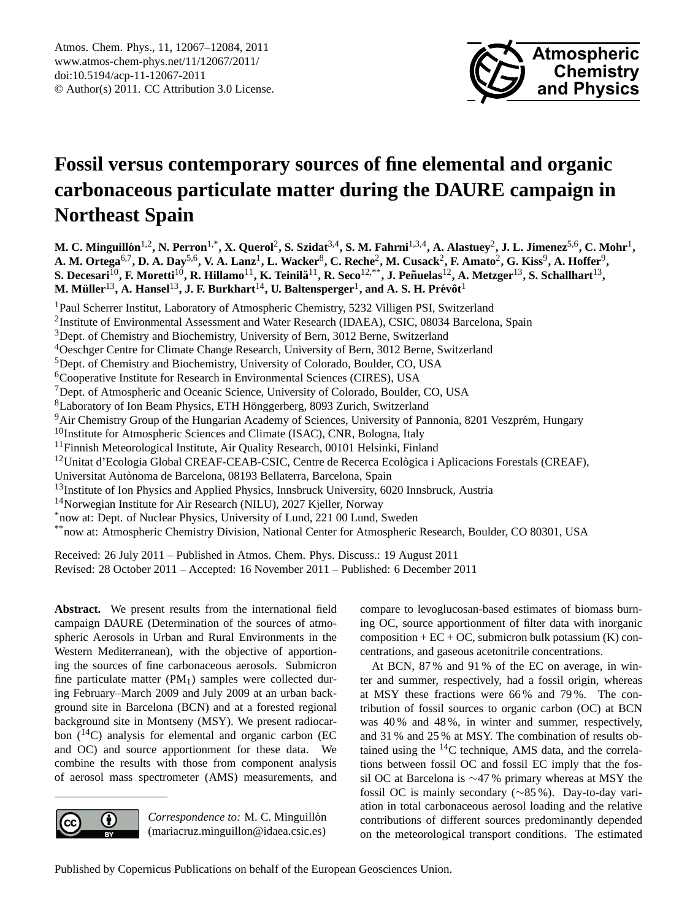

# <span id="page-0-0"></span>**Fossil versus contemporary sources of fine elemental and organic carbonaceous particulate matter during the DAURE campaign in Northeast Spain**

**M. C. Minguillon´** 1,2**, N. Perron**1,\***, X. Querol**<sup>2</sup> **, S. Szidat**3,4**, S. M. Fahrni**1,3,4**, A. Alastuey**<sup>2</sup> **, J. L. Jimenez**5,6**, C. Mohr**<sup>1</sup> **, A. M. Ortega**6,7**, D. A. Day**5,6**, V. A. Lanz**<sup>1</sup> **, L. Wacker**<sup>8</sup> **, C. Reche**<sup>2</sup> **, M. Cusack**<sup>2</sup> **, F. Amato**<sup>2</sup> **, G. Kiss**<sup>9</sup> **, A. Hoffer**<sup>9</sup> **,**  ${\bf S. \, Decesari}^{10}$ ,  ${\bf F. \, Moretti}^{10}$ ,  ${\bf R. \, Hillamo}^{11}$ ,  ${\bf K. \, Teinil\ddot{a}}^{11}$ ,  ${\bf R. \, Seco}^{12, **}$ ,  ${\bf J. \, Peñuelas}^{12}$ ,  ${\bf A. \, Metzger}^{13}$ ,  ${\bf S. \, Schallharf}^{13}$ ,  ${\bf M.\,M\"uller}^{13}, {\bf A.\,Hansel}^{13}, {\bf J.\,F.\,Burkhart}^{14}, {\bf U.\,Baltensperger}^{1}, {\bf and\,A.\,S.\,H.\,Pr\'ev\^t}^{16}$ 

<sup>1</sup>Paul Scherrer Institut, Laboratory of Atmospheric Chemistry, 5232 Villigen PSI, Switzerland

<sup>2</sup>Institute of Environmental Assessment and Water Research (IDAEA), CSIC, 08034 Barcelona, Spain

<sup>3</sup>Dept. of Chemistry and Biochemistry, University of Bern, 3012 Berne, Switzerland

<sup>4</sup>Oeschger Centre for Climate Change Research, University of Bern, 3012 Berne, Switzerland

<sup>5</sup>Dept. of Chemistry and Biochemistry, University of Colorado, Boulder, CO, USA

<sup>6</sup>Cooperative Institute for Research in Environmental Sciences (CIRES), USA

<sup>7</sup>Dept. of Atmospheric and Oceanic Science, University of Colorado, Boulder, CO, USA

<sup>8</sup>Laboratory of Ion Beam Physics, ETH Hönggerberg, 8093 Zurich, Switzerland

<sup>9</sup>Air Chemistry Group of the Hungarian Academy of Sciences, University of Pannonia, 8201 Veszprém, Hungary

 $10$ Institute for Atmospheric Sciences and Climate (ISAC), CNR, Bologna, Italy

 $11$ Finnish Meteorological Institute, Air Quality Research, 00101 Helsinki, Finland

 $12$ Unitat d'Ecologia Global CREAF-CEAB-CSIC, Centre de Recerca Ecològica i Aplicacions Forestals (CREAF),

Universitat Autonoma de Barcelona, 08193 Bellaterra, Barcelona, Spain `

<sup>13</sup>Institute of Ion Physics and Applied Physics, Innsbruck University, 6020 Innsbruck, Austria

<sup>14</sup>Norwegian Institute for Air Research (NILU), 2027 Kjeller, Norway

\*now at: Dept. of Nuclear Physics, University of Lund, 221 00 Lund, Sweden

\*\*now at: Atmospheric Chemistry Division, National Center for Atmospheric Research, Boulder, CO 80301, USA

Received: 26 July 2011 – Published in Atmos. Chem. Phys. Discuss.: 19 August 2011 Revised: 28 October 2011 – Accepted: 16 November 2011 – Published: 6 December 2011

**Abstract.** We present results from the international field campaign DAURE (Determination of the sources of atmospheric Aerosols in Urban and Rural Environments in the Western Mediterranean), with the objective of apportioning the sources of fine carbonaceous aerosols. Submicron fine particulate matter  $(PM_1)$  samples were collected during February–March 2009 and July 2009 at an urban background site in Barcelona (BCN) and at a forested regional background site in Montseny (MSY). We present radiocarbon  $(^{14}C)$  analysis for elemental and organic carbon (EC and OC) and source apportionment for these data. We combine the results with those from component analysis of aerosol mass spectrometer (AMS) measurements, and



*Correspondence to:* M. C. Minguillón (mariacruz.minguillon@idaea.csic.es) compare to levoglucosan-based estimates of biomass burning OC, source apportionment of filter data with inorganic composition +  $EC + OC$ , submicron bulk potassium (K) concentrations, and gaseous acetonitrile concentrations.

At BCN, 87 % and 91 % of the EC on average, in winter and summer, respectively, had a fossil origin, whereas at MSY these fractions were 66 % and 79 %. The contribution of fossil sources to organic carbon (OC) at BCN was 40 % and 48 %, in winter and summer, respectively, and 31 % and 25 % at MSY. The combination of results obtained using the  ${}^{14}$ C technique, AMS data, and the correlations between fossil OC and fossil EC imply that the fossil OC at Barcelona is ∼47 % primary whereas at MSY the fossil OC is mainly secondary (∼85 %). Day-to-day variation in total carbonaceous aerosol loading and the relative contributions of different sources predominantly depended on the meteorological transport conditions. The estimated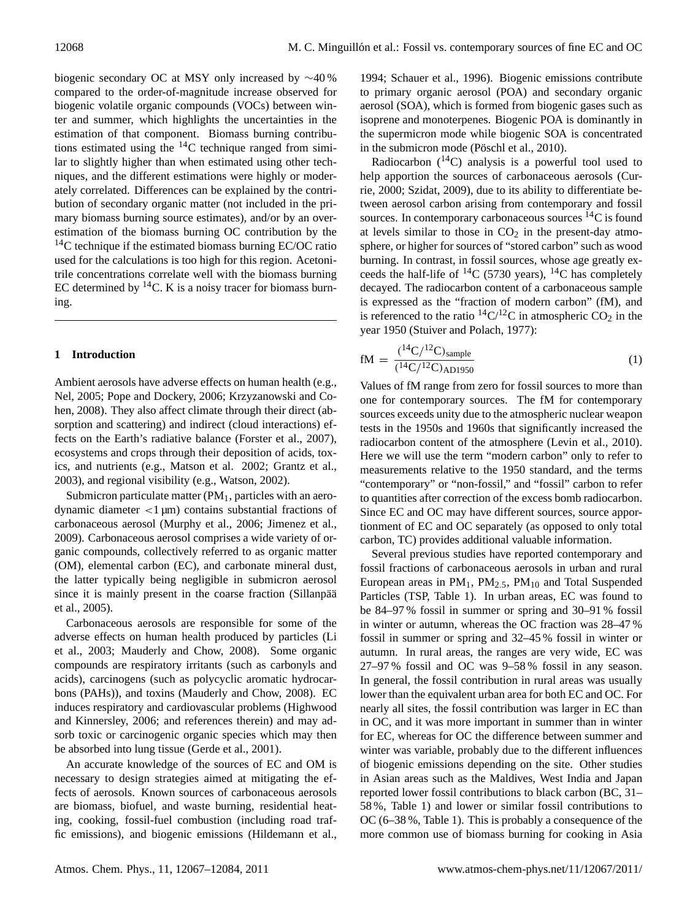biogenic secondary OC at MSY only increased by ∼40 % compared to the order-of-magnitude increase observed for biogenic volatile organic compounds (VOCs) between winter and summer, which highlights the uncertainties in the estimation of that component. Biomass burning contributions estimated using the  $^{14}$ C technique ranged from similar to slightly higher than when estimated using other techniques, and the different estimations were highly or moderately correlated. Differences can be explained by the contribution of secondary organic matter (not included in the primary biomass burning source estimates), and/or by an overestimation of the biomass burning OC contribution by the  $14$ C technique if the estimated biomass burning EC/OC ratio used for the calculations is too high for this region. Acetonitrile concentrations correlate well with the biomass burning EC determined by  $14C$ . K is a noisy tracer for biomass burning.

#### **1 Introduction**

Ambient aerosols have adverse effects on human health (e.g., Nel, 2005; Pope and Dockery, 2006; Krzyzanowski and Cohen, 2008). They also affect climate through their direct (absorption and scattering) and indirect (cloud interactions) effects on the Earth's radiative balance (Forster et al., 2007), ecosystems and crops through their deposition of acids, toxics, and nutrients (e.g., Matson et al. 2002; Grantz et al., 2003), and regional visibility (e.g., Watson, 2002).

Submicron particulate matter  $(PM_1)$ , particles with an aerodynamic diameter  $\langle 1 \mu m \rangle$  contains substantial fractions of carbonaceous aerosol (Murphy et al., 2006; Jimenez et al., 2009). Carbonaceous aerosol comprises a wide variety of organic compounds, collectively referred to as organic matter (OM), elemental carbon (EC), and carbonate mineral dust, the latter typically being negligible in submicron aerosol since it is mainly present in the coarse fraction (Sillanpää et al., 2005).

Carbonaceous aerosols are responsible for some of the adverse effects on human health produced by particles (Li et al., 2003; Mauderly and Chow, 2008). Some organic compounds are respiratory irritants (such as carbonyls and acids), carcinogens (such as polycyclic aromatic hydrocarbons (PAHs)), and toxins (Mauderly and Chow, 2008). EC induces respiratory and cardiovascular problems (Highwood and Kinnersley, 2006; and references therein) and may adsorb toxic or carcinogenic organic species which may then be absorbed into lung tissue (Gerde et al., 2001).

An accurate knowledge of the sources of EC and OM is necessary to design strategies aimed at mitigating the effects of aerosols. Known sources of carbonaceous aerosols are biomass, biofuel, and waste burning, residential heating, cooking, fossil-fuel combustion (including road traffic emissions), and biogenic emissions (Hildemann et al.,

1994; Schauer et al., 1996). Biogenic emissions contribute to primary organic aerosol (POA) and secondary organic aerosol (SOA), which is formed from biogenic gases such as isoprene and monoterpenes. Biogenic POA is dominantly in the supermicron mode while biogenic SOA is concentrated in the submicron mode (Pöschl et al., 2010).

Radiocarbon  $(^{14}C)$  analysis is a powerful tool used to help apportion the sources of carbonaceous aerosols (Currie, 2000; Szidat, 2009), due to its ability to differentiate between aerosol carbon arising from contemporary and fossil sources. In contemporary carbonaceous sources  ${}^{14}C$  is found at levels similar to those in  $CO<sub>2</sub>$  in the present-day atmosphere, or higher for sources of "stored carbon" such as wood burning. In contrast, in fossil sources, whose age greatly exceeds the half-life of  ${}^{14}C$  (5730 years),  ${}^{14}C$  has completely decayed. The radiocarbon content of a carbonaceous sample is expressed as the "fraction of modern carbon" (fM), and is referenced to the ratio  ${}^{14}C/{}^{12}C$  in atmospheric CO<sub>2</sub> in the year 1950 (Stuiver and Polach, 1977):

$$
fM = \frac{(^{14}C/^{12}C)_{sample}}{(^{14}C/^{12}C)_{AD1950}}
$$
 (1)

Values of fM range from zero for fossil sources to more than one for contemporary sources. The fM for contemporary sources exceeds unity due to the atmospheric nuclear weapon tests in the 1950s and 1960s that significantly increased the radiocarbon content of the atmosphere (Levin et al., 2010). Here we will use the term "modern carbon" only to refer to measurements relative to the 1950 standard, and the terms "contemporary" or "non-fossil," and "fossil" carbon to refer to quantities after correction of the excess bomb radiocarbon. Since EC and OC may have different sources, source apportionment of EC and OC separately (as opposed to only total carbon, TC) provides additional valuable information.

Several previous studies have reported contemporary and fossil fractions of carbonaceous aerosols in urban and rural European areas in  $PM_1$ ,  $PM_{2.5}$ ,  $PM_{10}$  and Total Suspended Particles (TSP, Table 1). In urban areas, EC was found to be 84–97 % fossil in summer or spring and 30–91 % fossil in winter or autumn, whereas the OC fraction was 28–47 % fossil in summer or spring and 32–45 % fossil in winter or autumn. In rural areas, the ranges are very wide, EC was 27–97 % fossil and OC was 9–58 % fossil in any season. In general, the fossil contribution in rural areas was usually lower than the equivalent urban area for both EC and OC. For nearly all sites, the fossil contribution was larger in EC than in OC, and it was more important in summer than in winter for EC, whereas for OC the difference between summer and winter was variable, probably due to the different influences of biogenic emissions depending on the site. Other studies in Asian areas such as the Maldives, West India and Japan reported lower fossil contributions to black carbon (BC, 31– 58 %, Table 1) and lower or similar fossil contributions to OC (6–38 %, Table 1). This is probably a consequence of the more common use of biomass burning for cooking in Asia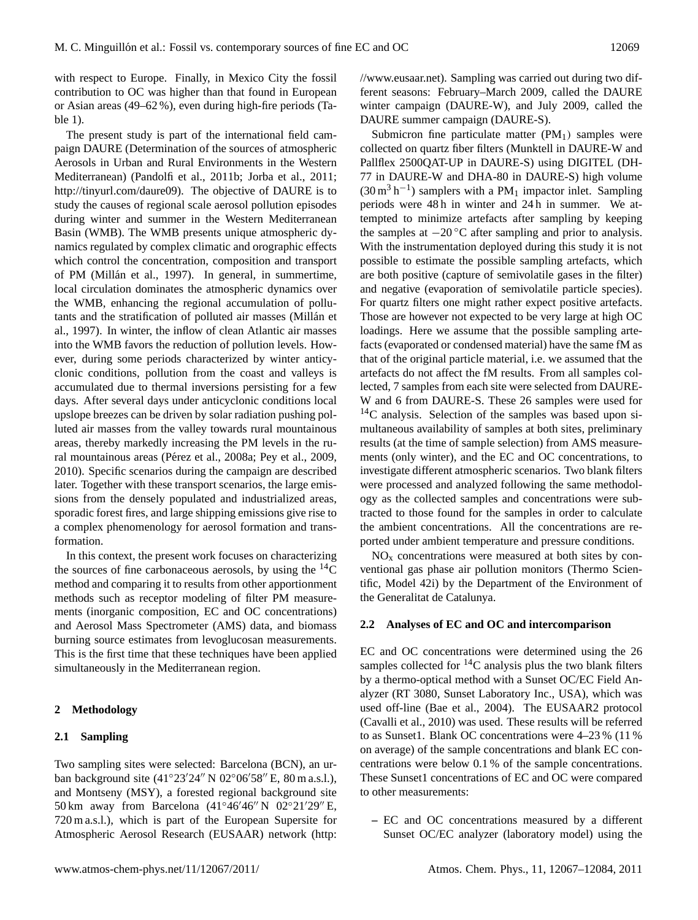with respect to Europe. Finally, in Mexico City the fossil contribution to OC was higher than that found in European or Asian areas (49–62 %), even during high-fire periods (Table 1).

The present study is part of the international field campaign DAURE (Determination of the sources of atmospheric Aerosols in Urban and Rural Environments in the Western Mediterranean) (Pandolfi et al., 2011b; Jorba et al., 2011; [http://tinyurl.com/daure09\)](http://tinyurl.com/daure09). The objective of DAURE is to study the causes of regional scale aerosol pollution episodes during winter and summer in the Western Mediterranean Basin (WMB). The WMB presents unique atmospheric dynamics regulated by complex climatic and orographic effects which control the concentration, composition and transport of PM (Millán et al., 1997). In general, in summertime, local circulation dominates the atmospheric dynamics over the WMB, enhancing the regional accumulation of pollutants and the stratification of polluted air masses (Millán et al., 1997). In winter, the inflow of clean Atlantic air masses into the WMB favors the reduction of pollution levels. However, during some periods characterized by winter anticyclonic conditions, pollution from the coast and valleys is accumulated due to thermal inversions persisting for a few days. After several days under anticyclonic conditions local upslope breezes can be driven by solar radiation pushing polluted air masses from the valley towards rural mountainous areas, thereby markedly increasing the PM levels in the rural mountainous areas (Pérez et al., 2008a; Pey et al., 2009, 2010). Specific scenarios during the campaign are described later. Together with these transport scenarios, the large emissions from the densely populated and industrialized areas, sporadic forest fires, and large shipping emissions give rise to a complex phenomenology for aerosol formation and transformation.

In this context, the present work focuses on characterizing the sources of fine carbonaceous aerosols, by using the  ${}^{14}C$ method and comparing it to results from other apportionment methods such as receptor modeling of filter PM measurements (inorganic composition, EC and OC concentrations) and Aerosol Mass Spectrometer (AMS) data, and biomass burning source estimates from levoglucosan measurements. This is the first time that these techniques have been applied simultaneously in the Mediterranean region.

#### **2 Methodology**

#### **2.1 Sampling**

Two sampling sites were selected: Barcelona (BCN), an urban background site (41°23′24" N 02°06′58" E, 80 m a.s.l.), and Montseny (MSY), a forested regional background site 50 km away from Barcelona  $(41°46'46'' N 02°21'29'' E$ , 720 m a.s.l.), which is part of the European Supersite for Atmospheric Aerosol Research (EUSAAR) network [\(http:](http://www.eusaar.net) [//www.eusaar.net\)](http://www.eusaar.net). Sampling was carried out during two different seasons: February–March 2009, called the DAURE winter campaign (DAURE-W), and July 2009, called the DAURE summer campaign (DAURE-S).

Submicron fine particulate matter  $(PM_1)$  samples were collected on quartz fiber filters (Munktell in DAURE-W and Pallflex 2500QAT-UP in DAURE-S) using DIGITEL (DH-77 in DAURE-W and DHA-80 in DAURE-S) high volume  $(30 \text{ m}^3 \text{ h}^{-1})$  samplers with a PM<sub>1</sub> impactor inlet. Sampling periods were 48 h in winter and 24 h in summer. We attempted to minimize artefacts after sampling by keeping the samples at  $-20\degree C$  after sampling and prior to analysis. With the instrumentation deployed during this study it is not possible to estimate the possible sampling artefacts, which are both positive (capture of semivolatile gases in the filter) and negative (evaporation of semivolatile particle species). For quartz filters one might rather expect positive artefacts. Those are however not expected to be very large at high OC loadings. Here we assume that the possible sampling artefacts (evaporated or condensed material) have the same fM as that of the original particle material, i.e. we assumed that the artefacts do not affect the fM results. From all samples collected, 7 samples from each site were selected from DAURE-W and 6 from DAURE-S. These 26 samples were used for  $14$ C analysis. Selection of the samples was based upon simultaneous availability of samples at both sites, preliminary results (at the time of sample selection) from AMS measurements (only winter), and the EC and OC concentrations, to investigate different atmospheric scenarios. Two blank filters were processed and analyzed following the same methodology as the collected samples and concentrations were subtracted to those found for the samples in order to calculate the ambient concentrations. All the concentrations are reported under ambient temperature and pressure conditions.

 $NO<sub>x</sub>$  concentrations were measured at both sites by conventional gas phase air pollution monitors (Thermo Scientific, Model 42i) by the Department of the Environment of the Generalitat de Catalunya.

#### **2.2 Analyses of EC and OC and intercomparison**

EC and OC concentrations were determined using the 26 samples collected for  ${}^{14}C$  analysis plus the two blank filters by a thermo-optical method with a Sunset OC/EC Field Analyzer (RT 3080, Sunset Laboratory Inc., USA), which was used off-line (Bae et al., 2004). The EUSAAR2 protocol (Cavalli et al., 2010) was used. These results will be referred to as Sunset1. Blank OC concentrations were 4–23 % (11 % on average) of the sample concentrations and blank EC concentrations were below 0.1 % of the sample concentrations. These Sunset1 concentrations of EC and OC were compared to other measurements:

**–** EC and OC concentrations measured by a different Sunset OC/EC analyzer (laboratory model) using the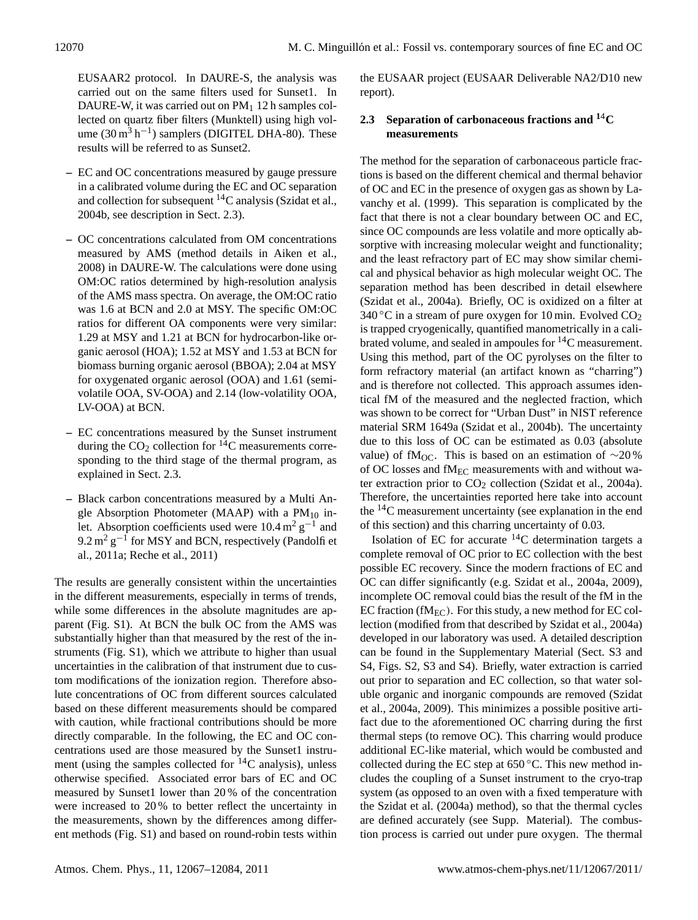EUSAAR2 protocol. In DAURE-S, the analysis was carried out on the same filters used for Sunset1. In DAURE-W, it was carried out on  $PM<sub>1</sub>$  12 h samples collected on quartz fiber filters (Munktell) using high volume  $(30 \text{ m}^3 \text{ h}^{-1})$  samplers (DIGITEL DHA-80). These results will be referred to as Sunset2.

- **–** EC and OC concentrations measured by gauge pressure in a calibrated volume during the EC and OC separation and collection for subsequent  ${}^{14}C$  analysis (Szidat et al., 2004b, see description in Sect. 2.3).
- **–** OC concentrations calculated from OM concentrations measured by AMS (method details in Aiken et al., 2008) in DAURE-W. The calculations were done using OM:OC ratios determined by high-resolution analysis of the AMS mass spectra. On average, the OM:OC ratio was 1.6 at BCN and 2.0 at MSY. The specific OM:OC ratios for different OA components were very similar: 1.29 at MSY and 1.21 at BCN for hydrocarbon-like organic aerosol (HOA); 1.52 at MSY and 1.53 at BCN for biomass burning organic aerosol (BBOA); 2.04 at MSY for oxygenated organic aerosol (OOA) and 1.61 (semivolatile OOA, SV-OOA) and 2.14 (low-volatility OOA, LV-OOA) at BCN.
- **–** EC concentrations measured by the Sunset instrument during the  $CO<sub>2</sub>$  collection for <sup>14</sup>C measurements corresponding to the third stage of the thermal program, as explained in Sect. 2.3.
- **–** Black carbon concentrations measured by a Multi Angle Absorption Photometer (MAAP) with a  $PM_{10}$  inlet. Absorption coefficients used were  $10.4 \text{ m}^2 \text{ g}^{-1}$  and  $9.2 \,\mathrm{m}^2 \,\mathrm{g}^{-1}$  for MSY and BCN, respectively (Pandolfi et al., 2011a; Reche et al., 2011)

The results are generally consistent within the uncertainties in the different measurements, especially in terms of trends, while some differences in the absolute magnitudes are apparent (Fig. S1). At BCN the bulk OC from the AMS was substantially higher than that measured by the rest of the instruments (Fig. S1), which we attribute to higher than usual uncertainties in the calibration of that instrument due to custom modifications of the ionization region. Therefore absolute concentrations of OC from different sources calculated based on these different measurements should be compared with caution, while fractional contributions should be more directly comparable. In the following, the EC and OC concentrations used are those measured by the Sunset1 instrument (using the samples collected for  $^{14}$ C analysis), unless otherwise specified. Associated error bars of EC and OC measured by Sunset1 lower than 20 % of the concentration were increased to 20 % to better reflect the uncertainty in the measurements, shown by the differences among different methods (Fig. S1) and based on round-robin tests within the EUSAAR project (EUSAAR Deliverable NA2/D10 new report).

# **2.3 Separation of carbonaceous fractions and <sup>1</sup>**4**C measurements**

The method for the separation of carbonaceous particle fractions is based on the different chemical and thermal behavior of OC and EC in the presence of oxygen gas as shown by Lavanchy et al. (1999). This separation is complicated by the fact that there is not a clear boundary between OC and EC, since OC compounds are less volatile and more optically absorptive with increasing molecular weight and functionality; and the least refractory part of EC may show similar chemical and physical behavior as high molecular weight OC. The separation method has been described in detail elsewhere (Szidat et al., 2004a). Briefly, OC is oxidized on a filter at 340 °C in a stream of pure oxygen for 10 min. Evolved  $CO<sub>2</sub>$ is trapped cryogenically, quantified manometrically in a calibrated volume, and sealed in ampoules for  ${}^{14}C$  measurement. Using this method, part of the OC pyrolyses on the filter to form refractory material (an artifact known as "charring") and is therefore not collected. This approach assumes identical fM of the measured and the neglected fraction, which was shown to be correct for "Urban Dust" in NIST reference material SRM 1649a (Szidat et al., 2004b). The uncertainty due to this loss of OC can be estimated as 0.03 (absolute value) of fM<sub>OC</sub>. This is based on an estimation of  $\sim$ 20 % of OC losses and  $fM_{EC}$  measurements with and without water extraction prior to  $CO<sub>2</sub>$  collection (Szidat et al., 2004a). Therefore, the uncertainties reported here take into account the <sup>14</sup>C measurement uncertainty (see explanation in the end of this section) and this charring uncertainty of 0.03.

Isolation of EC for accurate  ${}^{14}$ C determination targets a complete removal of OC prior to EC collection with the best possible EC recovery. Since the modern fractions of EC and OC can differ significantly (e.g. Szidat et al., 2004a, 2009), incomplete OC removal could bias the result of the fM in the EC fraction (f $M_{EC}$ ). For this study, a new method for EC collection (modified from that described by Szidat et al., 2004a) developed in our laboratory was used. A detailed description can be found in the Supplementary Material (Sect. S3 and S4, Figs. S2, S3 and S4). Briefly, water extraction is carried out prior to separation and EC collection, so that water soluble organic and inorganic compounds are removed (Szidat et al., 2004a, 2009). This minimizes a possible positive artifact due to the aforementioned OC charring during the first thermal steps (to remove OC). This charring would produce additional EC-like material, which would be combusted and collected during the EC step at  $650^{\circ}$ C. This new method includes the coupling of a Sunset instrument to the cryo-trap system (as opposed to an oven with a fixed temperature with the Szidat et al. (2004a) method), so that the thermal cycles are defined accurately (see Supp. Material). The combustion process is carried out under pure oxygen. The thermal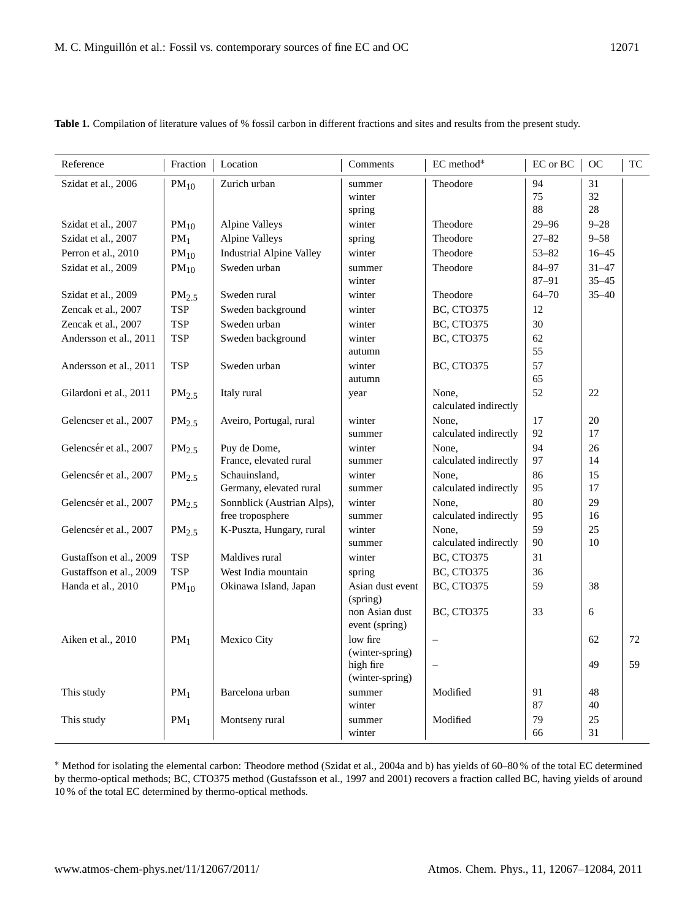| Reference               | Fraction          | Location                        | Comments                          | EC method*                     | $\operatorname{EC}$ or $\operatorname{BC}$ | <b>OC</b> | TC |
|-------------------------|-------------------|---------------------------------|-----------------------------------|--------------------------------|--------------------------------------------|-----------|----|
| Szidat et al., 2006     | $PM_{10}$         | Zurich urban                    | summer<br>winter                  | Theodore                       | 94<br>75                                   | 31<br>32  |    |
|                         |                   |                                 | spring                            |                                | 88                                         | 28        |    |
| Szidat et al., 2007     | $PM_{10}$         | <b>Alpine Valleys</b>           | winter                            | Theodore                       | $29 - 96$                                  | $9 - 28$  |    |
| Szidat et al., 2007     | $PM_1$            | <b>Alpine Valleys</b>           | spring                            | Theodore                       | $27 - 82$                                  | $9 - 58$  |    |
| Perron et al., 2010     | $PM_{10}$         | <b>Industrial Alpine Valley</b> | winter                            | Theodore                       | $53 - 82$                                  | $16 - 45$ |    |
| Szidat et al., 2009     | $PM_{10}$         | Sweden urban                    | summer                            | Theodore                       | 84-97                                      | $31 - 47$ |    |
|                         |                   |                                 | winter                            |                                | $87 - 91$                                  | $35 - 45$ |    |
| Szidat et al., 2009     | $PM_{2.5}$        | Sweden rural                    | winter                            | Theodore                       | $64 - 70$                                  | $35 - 40$ |    |
| Zencak et al., 2007     | <b>TSP</b>        | Sweden background               | winter                            | <b>BC, CTO375</b>              | 12                                         |           |    |
| Zencak et al., 2007     | <b>TSP</b>        | Sweden urban                    | winter                            | <b>BC, CTO375</b>              | 30                                         |           |    |
| Andersson et al., 2011  | <b>TSP</b>        | Sweden background               | winter                            | <b>BC, CTO375</b>              | 62                                         |           |    |
|                         |                   |                                 | autumn                            |                                | 55                                         |           |    |
| Andersson et al., 2011  | <b>TSP</b>        | Sweden urban                    | winter                            | <b>BC, CTO375</b>              | 57                                         |           |    |
|                         |                   |                                 | autumn                            |                                | 65                                         |           |    |
| Gilardoni et al., 2011  | PM <sub>2.5</sub> | Italy rural                     | year                              | None,<br>calculated indirectly | 52                                         | 22        |    |
|                         |                   |                                 | winter                            | None.                          | 17                                         | 20        |    |
| Gelencser et al., 2007  | PM <sub>2.5</sub> | Aveiro, Portugal, rural         | summer                            | calculated indirectly          | 92                                         | 17        |    |
| Gelencsér et al., 2007  | PM <sub>2.5</sub> | Puy de Dome,                    | winter                            | None.                          | 94                                         | 26        |    |
|                         |                   | France, elevated rural          | summer                            | calculated indirectly          | 97                                         | 14        |    |
| Gelencsér et al., 2007  | PM <sub>2.5</sub> | Schauinsland,                   | winter                            | None,                          | 86                                         | 15        |    |
|                         |                   | Germany, elevated rural         | summer                            | calculated indirectly          | 95                                         | 17        |    |
| Gelencsér et al., 2007  | PM <sub>2.5</sub> | Sonnblick (Austrian Alps),      | winter                            | None,                          | 80                                         | 29        |    |
|                         |                   | free troposphere                | summer                            | calculated indirectly          | 95                                         | 16        |    |
| Gelencsér et al., 2007  | $PM_{2.5}$        | K-Puszta, Hungary, rural        | winter                            | None,                          | 59                                         | 25        |    |
|                         |                   |                                 | summer                            | calculated indirectly          | 90                                         | 10        |    |
| Gustaffson et al., 2009 | TSP               | Maldives rural                  | winter                            | <b>BC, CTO375</b>              | 31                                         |           |    |
| Gustaffson et al., 2009 | <b>TSP</b>        | West India mountain             | spring                            | <b>BC, CTO375</b>              | 36                                         |           |    |
| Handa et al., 2010      | $PM_{10}$         | Okinawa Island, Japan           | Asian dust event<br>$(s^{prime})$ | <b>BC, CTO375</b>              | 59                                         | 38        |    |
|                         |                   |                                 | non Asian dust<br>event (spring)  | <b>BC, CTO375</b>              | 33                                         | 6         |    |
| Aiken et al., 2010      | PM <sub>1</sub>   | Mexico City                     | low fire                          |                                |                                            | 62        | 72 |
|                         |                   |                                 | (winter-spring)                   |                                |                                            |           |    |
|                         |                   |                                 | high fire<br>(winter-spring)      |                                |                                            | 49        | 59 |
| This study              | $PM_1$            | Barcelona urban                 | summer                            | Modified                       | 91                                         | 48        |    |
|                         |                   |                                 | winter                            |                                | 87                                         | 40        |    |
| This study              | PM <sub>1</sub>   | Montseny rural                  | summer                            | Modified                       | 79                                         | 25        |    |
|                         |                   |                                 | winter                            |                                | 66                                         | 31        |    |

**Table 1.** Compilation of literature values of % fossil carbon in different fractions and sites and results from the present study.

<sup>∗</sup> Method for isolating the elemental carbon: Theodore method (Szidat et al., 2004a and b) has yields of 60–80 % of the total EC determined by thermo-optical methods; BC, CTO375 method (Gustafsson et al., 1997 and 2001) recovers a fraction called BC, having yields of around 10 % of the total EC determined by thermo-optical methods.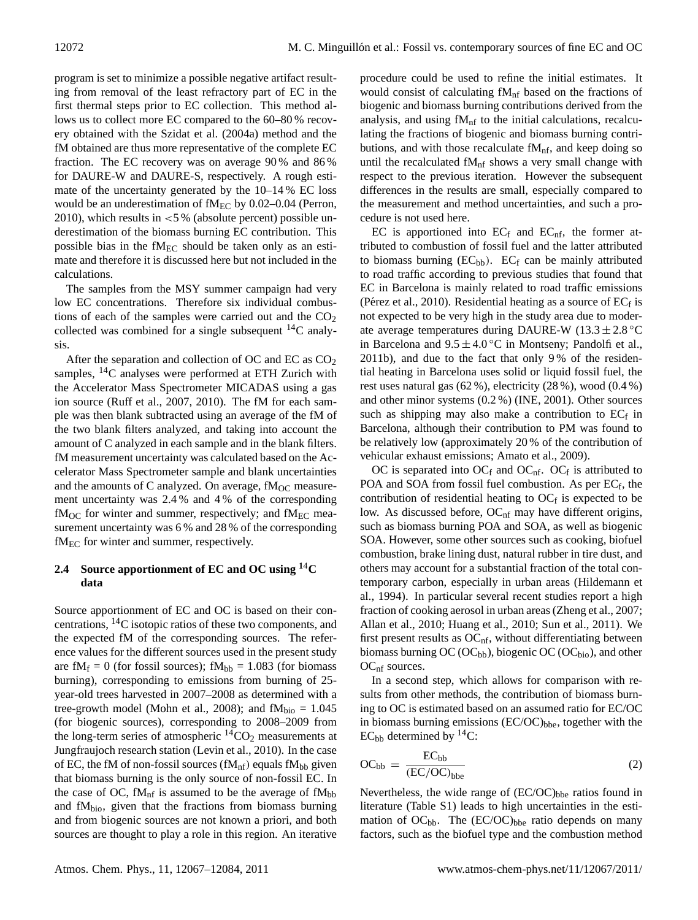program is set to minimize a possible negative artifact resulting from removal of the least refractory part of EC in the first thermal steps prior to EC collection. This method allows us to collect more EC compared to the 60–80 % recovery obtained with the Szidat et al. (2004a) method and the fM obtained are thus more representative of the complete EC fraction. The EC recovery was on average 90 % and 86 % for DAURE-W and DAURE-S, respectively. A rough estimate of the uncertainty generated by the 10–14 % EC loss would be an underestimation of  $fM_{EC}$  by 0.02–0.04 (Perron, 2010), which results in  $< 5\%$  (absolute percent) possible underestimation of the biomass burning EC contribution. This possible bias in the  $fM_{EC}$  should be taken only as an estimate and therefore it is discussed here but not included in the calculations.

The samples from the MSY summer campaign had very low EC concentrations. Therefore six individual combustions of each of the samples were carried out and the  $CO<sub>2</sub>$ collected was combined for a single subsequent  ${}^{14}C$  analysis.

After the separation and collection of OC and EC as CO<sup>2</sup> samples,  $^{14}$ C analyses were performed at ETH Zurich with the Accelerator Mass Spectrometer MICADAS using a gas ion source (Ruff et al., 2007, 2010). The fM for each sample was then blank subtracted using an average of the fM of the two blank filters analyzed, and taking into account the amount of C analyzed in each sample and in the blank filters. fM measurement uncertainty was calculated based on the Accelerator Mass Spectrometer sample and blank uncertainties and the amounts of C analyzed. On average,  $fM_{OC}$  measurement uncertainty was 2.4 % and 4 % of the corresponding  $f\text{M}_{\text{OC}}$  for winter and summer, respectively; and  $f\text{M}_{\text{EC}}$  measurement uncertainty was 6 % and 28 % of the corresponding  $fM_{EC}$  for winter and summer, respectively.

# **2.4 Source apportionment of EC and OC using <sup>1</sup>**4**C data**

Source apportionment of EC and OC is based on their concentrations,  $^{14}$ C isotopic ratios of these two components, and the expected fM of the corresponding sources. The reference values for the different sources used in the present study are f $M_f = 0$  (for fossil sources); f $M_{bb} = 1.083$  (for biomass burning), corresponding to emissions from burning of 25 year-old trees harvested in 2007–2008 as determined with a tree-growth model (Mohn et al., 2008); and  $fM_{bio} = 1.045$ (for biogenic sources), corresponding to 2008–2009 from the long-term series of atmospheric  ${}^{14}CO_2$  measurements at Jungfraujoch research station (Levin et al., 2010). In the case of EC, the fM of non-fossil sources ( $fM<sub>nf</sub>$ ) equals  $fM<sub>bb</sub>$  given that biomass burning is the only source of non-fossil EC. In the case of OC, f $M_{\text{nf}}$  is assumed to be the average of f $M_{\text{bb}}$ and  $fM_{bio}$ , given that the fractions from biomass burning and from biogenic sources are not known a priori, and both sources are thought to play a role in this region. An iterative procedure could be used to refine the initial estimates. It would consist of calculating  $fM<sub>nf</sub>$  based on the fractions of biogenic and biomass burning contributions derived from the analysis, and using  $fM<sub>nf</sub>$  to the initial calculations, recalculating the fractions of biogenic and biomass burning contributions, and with those recalculate  $fM_{\text{nf}}$ , and keep doing so until the recalculated  $fM<sub>nf</sub>$  shows a very small change with respect to the previous iteration. However the subsequent differences in the results are small, especially compared to the measurement and method uncertainties, and such a procedure is not used here.

EC is apportioned into  $EC_f$  and  $EC_{\text{nf}}$ , the former attributed to combustion of fossil fuel and the latter attributed to biomass burning  $(EC_{bb})$ .  $EC_f$  can be mainly attributed to road traffic according to previous studies that found that EC in Barcelona is mainly related to road traffic emissions (Pérez et al., 2010). Residential heating as a source of  $EC_f$  is not expected to be very high in the study area due to moderate average temperatures during DAURE-W ( $13.3 \pm 2.8$  °C in Barcelona and  $9.5 \pm 4.0\degree$ C in Montseny; Pandolfi et al., 2011b), and due to the fact that only 9 % of the residential heating in Barcelona uses solid or liquid fossil fuel, the rest uses natural gas (62 %), electricity (28 %), wood (0.4 %) and other minor systems (0.2 %) (INE, 2001). Other sources such as shipping may also make a contribution to  $EC_f$  in Barcelona, although their contribution to PM was found to be relatively low (approximately 20 % of the contribution of vehicular exhaust emissions; Amato et al., 2009).

OC is separated into  $OC_f$  and  $OC_{nf}$ .  $OC_f$  is attributed to POA and SOA from fossil fuel combustion. As per  $EC_f$ , the contribution of residential heating to  $OC_f$  is expected to be low. As discussed before,  $OC<sub>nf</sub>$  may have different origins, such as biomass burning POA and SOA, as well as biogenic SOA. However, some other sources such as cooking, biofuel combustion, brake lining dust, natural rubber in tire dust, and others may account for a substantial fraction of the total contemporary carbon, especially in urban areas (Hildemann et al., 1994). In particular several recent studies report a high fraction of cooking aerosol in urban areas (Zheng et al., 2007; Allan et al., 2010; Huang et al., 2010; Sun et al., 2011). We first present results as  $OC<sub>nf</sub>$ , without differentiating between biomass burning OC (OC<sub>bb</sub>), biogenic OC (OC<sub>bio</sub>), and other OC<sub>nf</sub> sources.

In a second step, which allows for comparison with results from other methods, the contribution of biomass burning to OC is estimated based on an assumed ratio for EC/OC in biomass burning emissions  $(EC/OC)_{bhe}$ , together with the  $EC_{bb}$  determined by <sup>14</sup>C:

$$
OC_{bb} = \frac{EC_{bb}}{(EC/OC)_{bbe}} \tag{2}
$$

Nevertheless, the wide range of  $(EC/OC)_{bbe}$  ratios found in literature (Table S1) leads to high uncertainties in the estimation of  $OC_{bb}$ . The  $(EC/OC)_{bbe}$  ratio depends on many factors, such as the biofuel type and the combustion method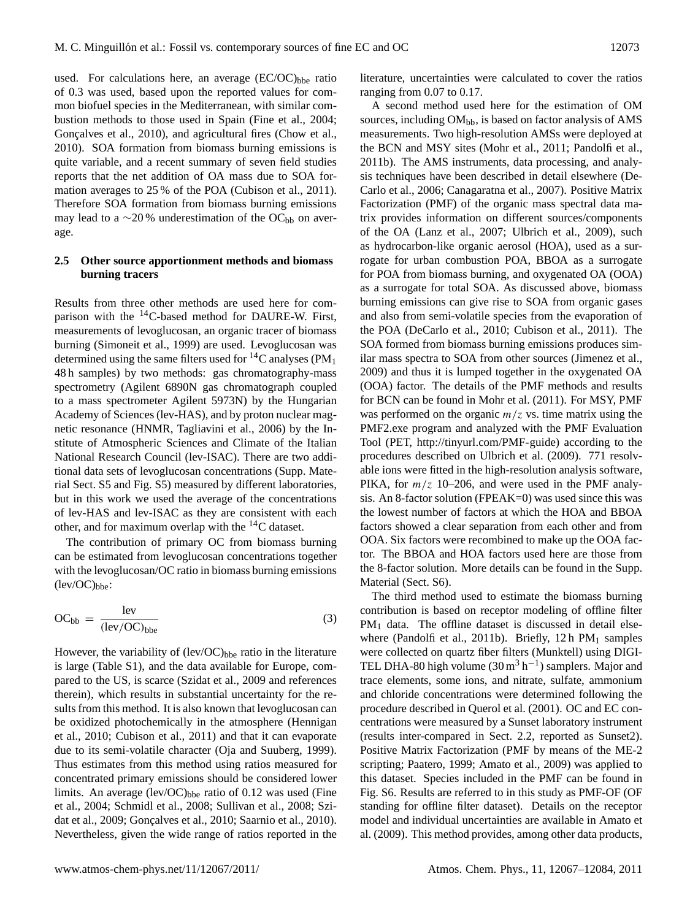used. For calculations here, an average  $(EC/OC)_{bbe}$  ratio of 0.3 was used, based upon the reported values for common biofuel species in the Mediterranean, with similar combustion methods to those used in Spain (Fine et al., 2004; Goncalves et al., 2010), and agricultural fires (Chow et al., 2010). SOA formation from biomass burning emissions is quite variable, and a recent summary of seven field studies reports that the net addition of OA mass due to SOA formation averages to 25 % of the POA (Cubison et al., 2011). Therefore SOA formation from biomass burning emissions may lead to a  $\sim$ 20% underestimation of the OC<sub>bb</sub> on average.

#### **2.5 Other source apportionment methods and biomass burning tracers**

Results from three other methods are used here for comparison with the  $^{14}$ C-based method for DAURE-W. First, measurements of levoglucosan, an organic tracer of biomass burning (Simoneit et al., 1999) are used. Levoglucosan was determined using the same filters used for  ${}^{14}C$  analyses (PM<sub>1</sub>) 48 h samples) by two methods: gas chromatography-mass spectrometry (Agilent 6890N gas chromatograph coupled to a mass spectrometer Agilent 5973N) by the Hungarian Academy of Sciences (lev-HAS), and by proton nuclear magnetic resonance (HNMR, Tagliavini et al., 2006) by the Institute of Atmospheric Sciences and Climate of the Italian National Research Council (lev-ISAC). There are two additional data sets of levoglucosan concentrations (Supp. Material Sect. S5 and Fig. S5) measured by different laboratories, but in this work we used the average of the concentrations of lev-HAS and lev-ISAC as they are consistent with each other, and for maximum overlap with the <sup>14</sup>C dataset.

The contribution of primary OC from biomass burning can be estimated from levoglucosan concentrations together with the levoglucosan/OC ratio in biomass burning emissions  $(\text{lev/OC})_{\text{bhe}}$ :

$$
OC_{bb} = \frac{lev}{(lev/OC)_{bbe}}
$$
 (3)

However, the variability of  $(lev/OC)_{bbe}$  ratio in the literature is large (Table S1), and the data available for Europe, compared to the US, is scarce (Szidat et al., 2009 and references therein), which results in substantial uncertainty for the results from this method. It is also known that levoglucosan can be oxidized photochemically in the atmosphere (Hennigan et al., 2010; Cubison et al., 2011) and that it can evaporate due to its semi-volatile character (Oja and Suuberg, 1999). Thus estimates from this method using ratios measured for concentrated primary emissions should be considered lower limits. An average  $(lev/OC)_{bbe}$  ratio of 0.12 was used (Fine et al., 2004; Schmidl et al., 2008; Sullivan et al., 2008; Szidat et al., 2009; Gonçalves et al., 2010; Saarnio et al., 2010). Nevertheless, given the wide range of ratios reported in the literature, uncertainties were calculated to cover the ratios ranging from 0.07 to 0.17.

A second method used here for the estimation of OM sources, including  $OM_{bb}$ , is based on factor analysis of AMS measurements. Two high-resolution AMSs were deployed at the BCN and MSY sites (Mohr et al., 2011; Pandolfi et al., 2011b). The AMS instruments, data processing, and analysis techniques have been described in detail elsewhere (De-Carlo et al., 2006; Canagaratna et al., 2007). Positive Matrix Factorization (PMF) of the organic mass spectral data matrix provides information on different sources/components of the OA (Lanz et al., 2007; Ulbrich et al., 2009), such as hydrocarbon-like organic aerosol (HOA), used as a surrogate for urban combustion POA, BBOA as a surrogate for POA from biomass burning, and oxygenated OA (OOA) as a surrogate for total SOA. As discussed above, biomass burning emissions can give rise to SOA from organic gases and also from semi-volatile species from the evaporation of the POA (DeCarlo et al., 2010; Cubison et al., 2011). The SOA formed from biomass burning emissions produces similar mass spectra to SOA from other sources (Jimenez et al., 2009) and thus it is lumped together in the oxygenated OA (OOA) factor. The details of the PMF methods and results for BCN can be found in Mohr et al. (2011). For MSY, PMF was performed on the organic  $m/z$  vs. time matrix using the PMF2.exe program and analyzed with the PMF Evaluation Tool (PET, [http://tinyurl.com/PMF-guide\)](http://tinyurl.com/PMF-guide) according to the procedures described on Ulbrich et al. (2009). 771 resolvable ions were fitted in the high-resolution analysis software, PIKA, for  $m/z$  10–206, and were used in the PMF analysis. An 8-factor solution (FPEAK=0) was used since this was the lowest number of factors at which the HOA and BBOA factors showed a clear separation from each other and from OOA. Six factors were recombined to make up the OOA factor. The BBOA and HOA factors used here are those from the 8-factor solution. More details can be found in the Supp. Material (Sect. S6).

The third method used to estimate the biomass burning contribution is based on receptor modeling of offline filter PM<sub>1</sub> data. The offline dataset is discussed in detail elsewhere (Pandolfi et al., 2011b). Briefly, 12 h  $PM_1$  samples were collected on quartz fiber filters (Munktell) using DIGI-TEL DHA-80 high volume  $(30 \text{ m}^3 \text{ h}^{-1})$  samplers. Major and trace elements, some ions, and nitrate, sulfate, ammonium and chloride concentrations were determined following the procedure described in Querol et al. (2001). OC and EC concentrations were measured by a Sunset laboratory instrument (results inter-compared in Sect. 2.2, reported as Sunset2). Positive Matrix Factorization (PMF by means of the ME-2 scripting; Paatero, 1999; Amato et al., 2009) was applied to this dataset. Species included in the PMF can be found in Fig. S6. Results are referred to in this study as PMF-OF (OF standing for offline filter dataset). Details on the receptor model and individual uncertainties are available in Amato et al. (2009). This method provides, among other data products,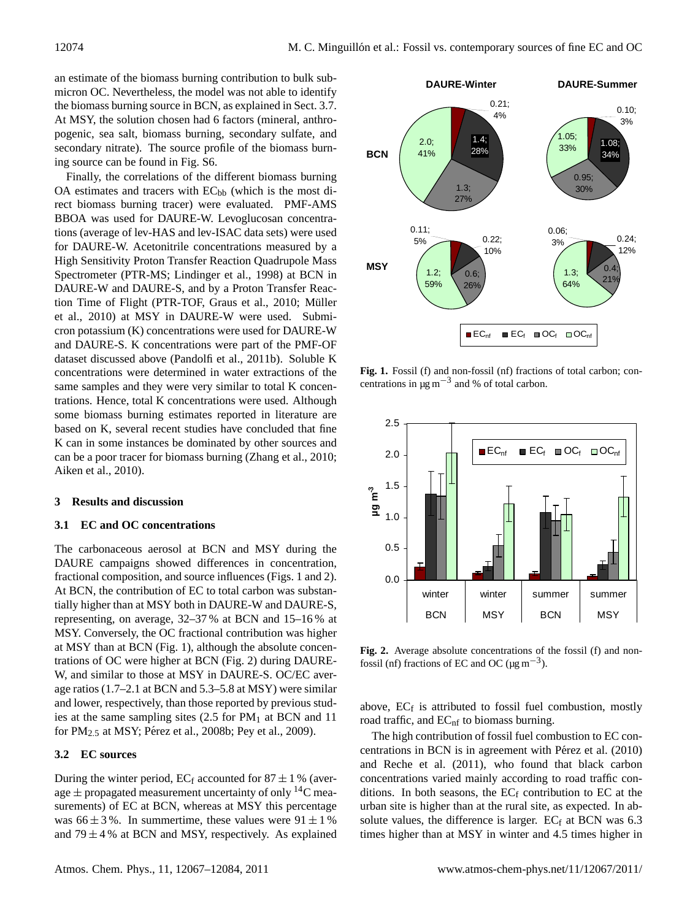an estimate of the biomass burning contribution to bulk submicron OC. Nevertheless, the model was not able to identify the biomass burning source in BCN, as explained in Sect. 3.7. At MSY, the solution chosen had 6 factors (mineral, anthropogenic, sea salt, biomass burning, secondary sulfate, and secondary nitrate). The source profile of the biomass burning source can be found in Fig. S6.

Finally, the correlations of the different biomass burning OA estimates and tracers with  $EC<sub>bb</sub>$  (which is the most direct biomass burning tracer) were evaluated. PMF-AMS BBOA was used for DAURE-W. Levoglucosan concentrations (average of lev-HAS and lev-ISAC data sets) were used for DAURE-W. Acetonitrile concentrations measured by a High Sensitivity Proton Transfer Reaction Quadrupole Mass Spectrometer (PTR-MS; Lindinger et al., 1998) at BCN in DAURE-W and DAURE-S, and by a Proton Transfer Reaction Time of Flight (PTR-TOF, Graus et al., 2010; Müller et al., 2010) at MSY in DAURE-W were used. Submicron potassium (K) concentrations were used for DAURE-W and DAURE-S. K concentrations were part of the PMF-OF dataset discussed above (Pandolfi et al., 2011b). Soluble K concentrations were determined in water extractions of the same samples and they were very similar to total K concentrations. Hence, total K concentrations were used. Although some biomass burning estimates reported in literature are based on K, several recent studies have concluded that fine K can in some instances be dominated by other sources and can be a poor tracer for biomass burning (Zhang et al., 2010; Aiken et al., 2010).

#### **3 Results and discussion**

#### **3.1 EC and OC concentrations**

The carbonaceous aerosol at BCN and MSY during the DAURE campaigns showed differences in concentration, fractional composition, and source influences (Figs. 1 and 2). At BCN, the contribution of EC to total carbon was substantially higher than at MSY both in DAURE-W and DAURE-S, representing, on average, 32–37 % at BCN and 15–16 % at MSY. Conversely, the OC fractional contribution was higher at MSY than at BCN (Fig. 1), although the absolute concentrations of OC were higher at BCN (Fig. 2) during DAURE-W, and similar to those at MSY in DAURE-S. OC/EC average ratios (1.7–2.1 at BCN and 5.3–5.8 at MSY) were similar and lower, respectively, than those reported by previous studies at the same sampling sites  $(2.5$  for PM<sub>1</sub> at BCN and 11 for  $PM_{2.5}$  at MSY; Pérez et al., 2008b; Pey et al., 2009).

#### **3.2 EC sources**

During the winter period,  $EC_f$  accounted for  $87 \pm 1$ % (average  $\pm$  propagated measurement uncertainty of only <sup>14</sup>C measurements) of EC at BCN, whereas at MSY this percentage was  $66 \pm 3\%$ . In summertime, these values were  $91 \pm 1\%$ and  $79 \pm 4$ % at BCN and MSY, respectively. As explained



**Fig. 1.** Fossil (f) and non-fossil (nf) fractions of total carbon; concentrations in  $\mu$ g m<sup>-3</sup> and % of total carbon.



Fig. 2. Average absolute concentrations of the fossil (f) and nonfossil (nf) fractions of EC and OC ( $\mu$ g m<sup>-3</sup>).

above,  $EC_f$  is attributed to fossil fuel combustion, mostly road traffic, and EC<sub>nf</sub> to biomass burning.

The high contribution of fossil fuel combustion to EC concentrations in BCN is in agreement with Pérez et al. (2010) and Reche et al. (2011), who found that black carbon concentrations varied mainly according to road traffic conditions. In both seasons, the  $EC_f$  contribution to  $EC$  at the urban site is higher than at the rural site, as expected. In absolute values, the difference is larger.  $EC_f$  at BCN was 6.3 times higher than at MSY in winter and 4.5 times higher in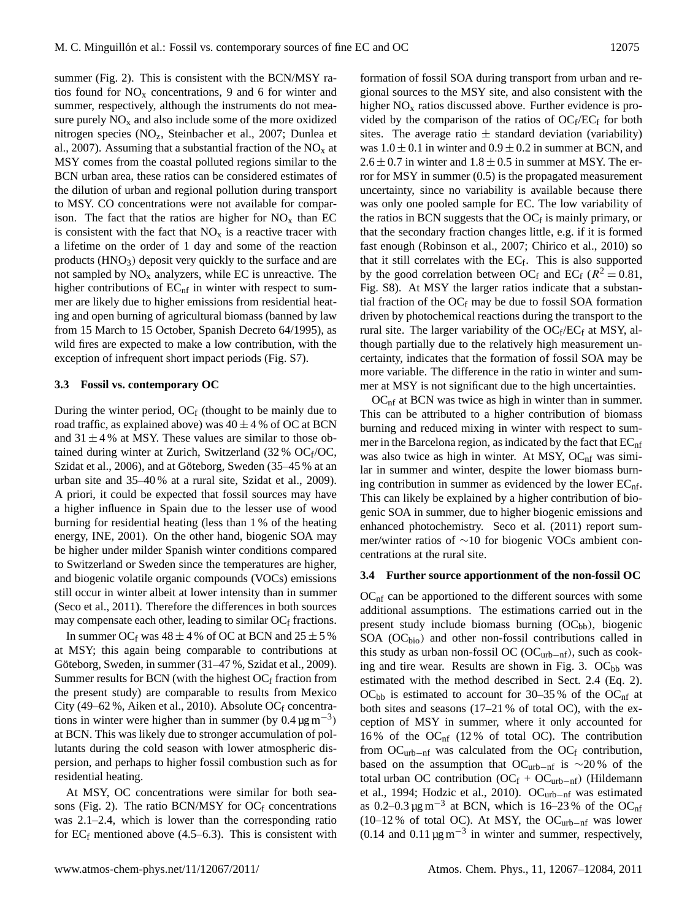summer (Fig. 2). This is consistent with the BCN/MSY ratios found for  $NO<sub>x</sub>$  concentrations, 9 and 6 for winter and summer, respectively, although the instruments do not measure purely  $NO<sub>x</sub>$  and also include some of the more oxidized nitrogen species (NOz, Steinbacher et al., 2007; Dunlea et al., 2007). Assuming that a substantial fraction of the  $NO<sub>x</sub>$  at MSY comes from the coastal polluted regions similar to the BCN urban area, these ratios can be considered estimates of the dilution of urban and regional pollution during transport to MSY. CO concentrations were not available for comparison. The fact that the ratios are higher for  $NO<sub>x</sub>$  than EC is consistent with the fact that  $NO<sub>x</sub>$  is a reactive tracer with a lifetime on the order of 1 day and some of the reaction products  $(HNO<sub>3</sub>)$  deposit very quickly to the surface and are not sampled by  $NO<sub>x</sub>$  analyzers, while EC is unreactive. The higher contributions of  $EC<sub>nf</sub>$  in winter with respect to summer are likely due to higher emissions from residential heating and open burning of agricultural biomass (banned by law from 15 March to 15 October, Spanish Decreto 64/1995), as wild fires are expected to make a low contribution, with the exception of infrequent short impact periods (Fig. S7).

#### **3.3 Fossil vs. contemporary OC**

During the winter period,  $OC_f$  (thought to be mainly due to road traffic, as explained above) was  $40 \pm 4$  % of OC at BCN and  $31 \pm 4$ % at MSY. These values are similar to those obtained during winter at Zurich, Switzerland  $(32\% \text{ OC}_f/\text{OC})$ , Szidat et al., 2006), and at Göteborg, Sweden (35–45 % at an urban site and 35–40 % at a rural site, Szidat et al., 2009). A priori, it could be expected that fossil sources may have a higher influence in Spain due to the lesser use of wood burning for residential heating (less than 1 % of the heating energy, INE, 2001). On the other hand, biogenic SOA may be higher under milder Spanish winter conditions compared to Switzerland or Sweden since the temperatures are higher, and biogenic volatile organic compounds (VOCs) emissions still occur in winter albeit at lower intensity than in summer (Seco et al., 2011). Therefore the differences in both sources may compensate each other, leading to similar  $OC<sub>f</sub>$  fractions.

In summer OC<sub>f</sub> was  $48 \pm 4$  % of OC at BCN and  $25 \pm 5$  % at MSY; this again being comparable to contributions at Göteborg, Sweden, in summer (31–47 %, Szidat et al., 2009). Summer results for BCN (with the highest  $OC_f$  fraction from the present study) are comparable to results from Mexico City (49–62 %, Aiken et al., 2010). Absolute OCf concentrations in winter were higher than in summer (by  $0.4 \,\mathrm{\mu g\,m^{-3}}$ ) at BCN. This was likely due to stronger accumulation of pollutants during the cold season with lower atmospheric dispersion, and perhaps to higher fossil combustion such as for residential heating.

At MSY, OC concentrations were similar for both seasons (Fig. 2). The ratio BCN/MSY for  $OC_f$  concentrations was 2.1–2.4, which is lower than the corresponding ratio for  $EC_f$  mentioned above (4.5–6.3). This is consistent with formation of fossil SOA during transport from urban and regional sources to the MSY site, and also consistent with the higher  $NO<sub>x</sub>$  ratios discussed above. Further evidence is provided by the comparison of the ratios of  $OC_f/EC_f$  for both sites. The average ratio  $\pm$  standard deviation (variability) was  $1.0 \pm 0.1$  in winter and  $0.9 \pm 0.2$  in summer at BCN, and  $2.6 \pm 0.7$  in winter and  $1.8 \pm 0.5$  in summer at MSY. The error for MSY in summer (0.5) is the propagated measurement uncertainty, since no variability is available because there was only one pooled sample for EC. The low variability of the ratios in BCN suggests that the  $OC_f$  is mainly primary, or that the secondary fraction changes little, e.g. if it is formed fast enough (Robinson et al., 2007; Chirico et al., 2010) so that it still correlates with the  $EC_f$ . This is also supported by the good correlation between OC<sub>f</sub> and EC<sub>f</sub> ( $R^2 = 0.81$ , Fig. S8). At MSY the larger ratios indicate that a substantial fraction of the  $OC_f$  may be due to fossil SOA formation driven by photochemical reactions during the transport to the rural site. The larger variability of the  $OC_f/EC_f$  at MSY, although partially due to the relatively high measurement uncertainty, indicates that the formation of fossil SOA may be more variable. The difference in the ratio in winter and summer at MSY is not significant due to the high uncertainties.

 $OC<sub>nf</sub>$  at BCN was twice as high in winter than in summer. This can be attributed to a higher contribution of biomass burning and reduced mixing in winter with respect to summer in the Barcelona region, as indicated by the fact that  $EC<sub>nf</sub>$ was also twice as high in winter. At MSY,  $OC<sub>nf</sub>$  was similar in summer and winter, despite the lower biomass burning contribution in summer as evidenced by the lower  $EC<sub>nf</sub>$ . This can likely be explained by a higher contribution of biogenic SOA in summer, due to higher biogenic emissions and enhanced photochemistry. Seco et al. (2011) report summer/winter ratios of ∼10 for biogenic VOCs ambient concentrations at the rural site.

#### **3.4 Further source apportionment of the non-fossil OC**

 $OC<sub>nf</sub>$  can be apportioned to the different sources with some additional assumptions. The estimations carried out in the present study include biomass burning  $(OC_{bb})$ , biogenic  $SOA (OC<sub>bio</sub>)$  and other non-fossil contributions called in this study as urban non-fossil OC ( $OC<sub>urb-nf</sub>$ ), such as cooking and tire wear. Results are shown in Fig. 3. OCbb was estimated with the method described in Sect. 2.4 (Eq. 2).  $OC<sub>bb</sub>$  is estimated to account for 30–35% of the  $OC<sub>nf</sub>$  at both sites and seasons (17–21 % of total OC), with the exception of MSY in summer, where it only accounted for 16% of the  $OC<sub>nf</sub>$  (12% of total OC). The contribution from  $OC<sub>urb-nf</sub>$  was calculated from the  $OC<sub>f</sub>$  contribution, based on the assumption that OC<sub>urb−nf</sub> is ~20% of the total urban OC contribution (OCf + OC<sub>urb−nf</sub>) (Hildemann et al., 1994; Hodzic et al., 2010). OCurb−nf was estimated as 0.2–0.3  $\mu$ g m<sup>-3</sup> at BCN, which is 16–23% of the OC<sub>nf</sub> (10–12 % of total OC). At MSY, the OCurb−nf was lower (0.14 and 0.11  $\mu$ g m<sup>-3</sup> in winter and summer, respectively,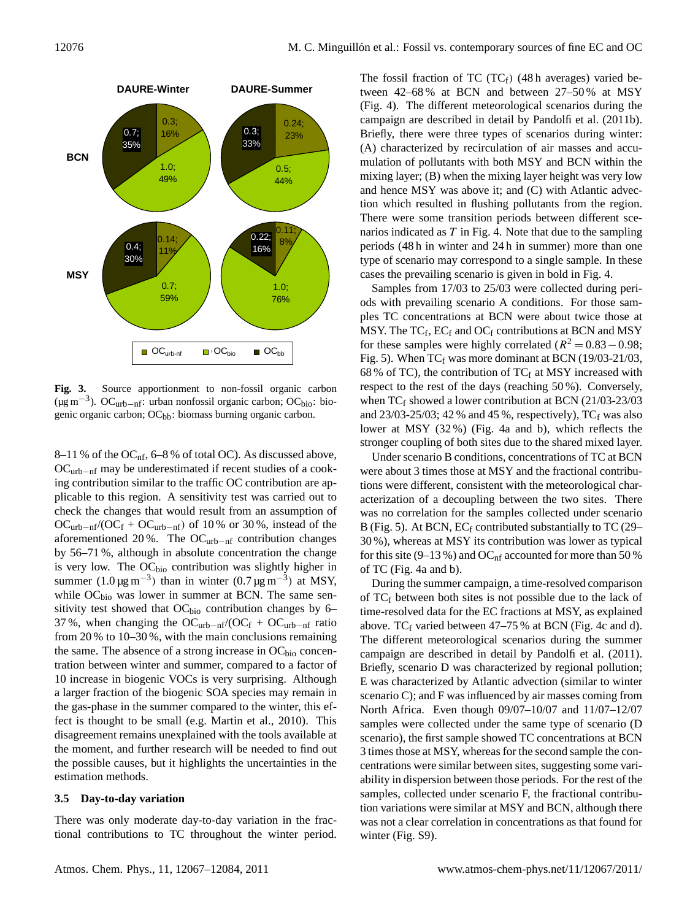

**Fig. 3.** Source apportionment to non-fossil organic carbon (µg m−<sup>3</sup> ). OCurb−nf: urban nonfossil organic carbon; OCbio: biogenic organic carbon; OCbb: biomass burning organic carbon.

8–11 % of the OC<sub>nf</sub>, 6–8 % of total OC). As discussed above, OCurb−nf may be underestimated if recent studies of a cooking contribution similar to the traffic OC contribution are applicable to this region. A sensitivity test was carried out to check the changes that would result from an assumption of  $OC_{urb-nf}/(OC_f + OC_{urb-nf})$  of 10% or 30%, instead of the aforementioned 20 %. The OCurb−nf contribution changes by 56–71 %, although in absolute concentration the change is very low. The  $OC<sub>bio</sub>$  contribution was slightly higher in summer  $(1.0 \,\text{µg m}^{-3})$  than in winter  $(0.7 \,\text{µg m}^{-3})$  at MSY, while  $OC<sub>bio</sub>$  was lower in summer at BCN. The same sensitivity test showed that  $OC<sub>bio</sub>$  contribution changes by 6– 37 %, when changing the  $OC_{\text{urb-nf}}/(OC_f + OC_{\text{urb-nf}})$  ratio from 20 % to 10–30 %, with the main conclusions remaining the same. The absence of a strong increase in  $OC<sub>bio</sub>$  concentration between winter and summer, compared to a factor of 10 increase in biogenic VOCs is very surprising. Although a larger fraction of the biogenic SOA species may remain in the gas-phase in the summer compared to the winter, this effect is thought to be small (e.g. Martin et al., 2010). This disagreement remains unexplained with the tools available at the moment, and further research will be needed to find out the possible causes, but it highlights the uncertainties in the estimation methods.

#### **3.5 Day-to-day variation**

There was only moderate day-to-day variation in the fractional contributions to TC throughout the winter period. The fossil fraction of TC  $(TC_f)$  (48h averages) varied between 42–68 % at BCN and between 27–50 % at MSY (Fig. 4). The different meteorological scenarios during the campaign are described in detail by Pandolfi et al. (2011b). Briefly, there were three types of scenarios during winter: (A) characterized by recirculation of air masses and accumulation of pollutants with both MSY and BCN within the mixing layer; (B) when the mixing layer height was very low and hence MSY was above it; and (C) with Atlantic advection which resulted in flushing pollutants from the region. There were some transition periods between different scenarios indicated as  $T$  in Fig. 4. Note that due to the sampling periods (48 h in winter and 24 h in summer) more than one type of scenario may correspond to a single sample. In these cases the prevailing scenario is given in bold in Fig. 4.

Samples from 17/03 to 25/03 were collected during periods with prevailing scenario A conditions. For those samples TC concentrations at BCN were about twice those at MSY. The  $TC_f$ ,  $EC_f$  and  $OC_f$  contributions at BCN and MSY for these samples were highly correlated ( $R^2 = 0.83 - 0.98$ ; Fig. 5). When  $TC_f$  was more dominant at BCN (19/03-21/03, 68 % of TC), the contribution of TC $_f$  at MSY increased with respect to the rest of the days (reaching 50 %). Conversely, when  $TC_f$  showed a lower contribution at BCN (21/03-23/03) and  $23/03-25/03$ ; 42 % and 45 %, respectively), TC<sub>f</sub> was also lower at MSY (32 %) (Fig. 4a and b), which reflects the stronger coupling of both sites due to the shared mixed layer.

Under scenario B conditions, concentrations of TC at BCN were about 3 times those at MSY and the fractional contributions were different, consistent with the meteorological characterization of a decoupling between the two sites. There was no correlation for the samples collected under scenario B (Fig. 5). At BCN,  $EC_f$  contributed substantially to TC (29– 30 %), whereas at MSY its contribution was lower as typical for this site (9–13 %) and OC<sub>nf</sub> accounted for more than 50 % of TC (Fig. 4a and b).

During the summer campaign, a time-resolved comparison of  $TC_f$  between both sites is not possible due to the lack of time-resolved data for the EC fractions at MSY, as explained above.  $TC_f$  varied between 47–75 % at BCN (Fig. 4c and d). The different meteorological scenarios during the summer campaign are described in detail by Pandolfi et al. (2011). Briefly, scenario D was characterized by regional pollution; E was characterized by Atlantic advection (similar to winter scenario C); and F was influenced by air masses coming from North Africa. Even though 09/07–10/07 and 11/07–12/07 samples were collected under the same type of scenario (D scenario), the first sample showed TC concentrations at BCN 3 times those at MSY, whereas for the second sample the concentrations were similar between sites, suggesting some variability in dispersion between those periods. For the rest of the samples, collected under scenario F, the fractional contribution variations were similar at MSY and BCN, although there was not a clear correlation in concentrations as that found for winter (Fig. S9).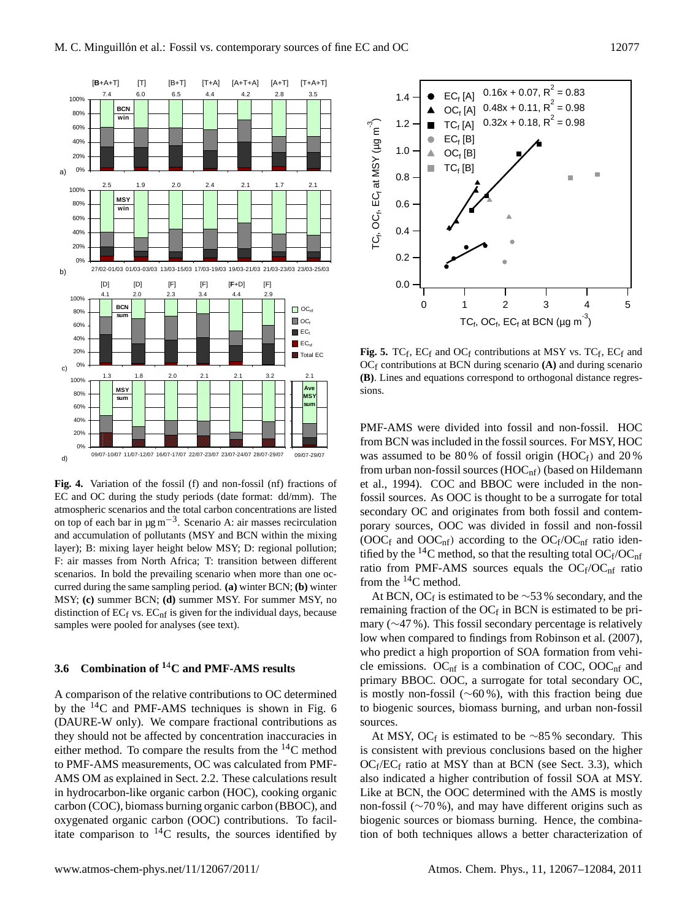

**Fig. 4.** Variation of the fossil (f) and non-fossil (nf) fractions of EC and OC during the study periods (date format: dd/mm). The atmospheric scenarios and the total carbon concentrations are listed on top of each bar in  $\mu$ g m<sup>-3</sup>. Scenario A: air masses recirculation and accumulation of pollutants (MSY and BCN within the mixing layer); B: mixing layer height below MSY; D: regional pollution; F: air masses from North Africa; T: transition between different scenarios. In bold the prevailing scenario when more than one occurred during the same sampling period. **(a)** winter BCN; **(b)** winter MSY; **(c)** summer BCN; **(d)** summer MSY. For summer MSY, no distinction of  $EC_f$  vs.  $EC_{\text{nf}}$  is given for the individual days, because samples were pooled for analyses (see text).

# **3.6 Combination of <sup>1</sup>**4**C and PMF-AMS results**

A comparison of the relative contributions to OC determined by the  $^{14}$ C and PMF-AMS techniques is shown in Fig. 6 (DAURE-W only). We compare fractional contributions as they should not be affected by concentration inaccuracies in either method. To compare the results from the  $^{14}$ C method to PMF-AMS measurements, OC was calculated from PMF-AMS OM as explained in Sect. 2.2. These calculations result in hydrocarbon-like organic carbon (HOC), cooking organic carbon (COC), biomass burning organic carbon (BBOC), and oxygenated organic carbon (OOC) contributions. To facilitate comparison to  $^{14}$ C results, the sources identified by



**Fig. 5.**  $TC_f$ ,  $EC_f$  and  $OC_f$  contributions at MSY vs.  $TC_f$ ,  $EC_f$  and  $OC_f$  contributions at BCN during scenario  $(A)$  and during scenario **(B)**. Lines and equations correspond to orthogonal distance regressions.

PMF-AMS were divided into fossil and non-fossil. HOC from BCN was included in the fossil sources. For MSY, HOC was assumed to be 80% of fossil origin (HOCf) and 20% from urban non-fossil sources  $(HOC<sub>nf</sub>)$  (based on Hildemann et al., 1994). COC and BBOC were included in the nonfossil sources. As OOC is thought to be a surrogate for total secondary OC and originates from both fossil and contemporary sources, OOC was divided in fossil and non-fossil (OOC<sub>f</sub> and OOC<sub>nf</sub>) according to the OC<sub>f</sub>/OC<sub>nf</sub> ratio identified by the <sup>14</sup>C method, so that the resulting total  $OC_f/OC_{nf}$ ratio from PMF-AMS sources equals the  $OC_f/OC_{nf}$  ratio from the <sup>14</sup>C method.

At BCN, OCf is estimated to be  $\sim$ 53 % secondary, and the remaining fraction of the  $OC_f$  in BCN is estimated to be primary (∼47 %). This fossil secondary percentage is relatively low when compared to findings from Robinson et al. (2007), who predict a high proportion of SOA formation from vehicle emissions.  $OC<sub>nf</sub>$  is a combination of COC, OOC<sub>nf</sub> and primary BBOC. OOC, a surrogate for total secondary OC, is mostly non-fossil (∼60 %), with this fraction being due to biogenic sources, biomass burning, and urban non-fossil sources.

At MSY, OCf is estimated to be  $\sim 85\%$  secondary. This is consistent with previous conclusions based on the higher  $OC_f/EC_f$  ratio at MSY than at BCN (see Sect. 3.3), which also indicated a higher contribution of fossil SOA at MSY. Like at BCN, the OOC determined with the AMS is mostly non-fossil (∼70 %), and may have different origins such as biogenic sources or biomass burning. Hence, the combination of both techniques allows a better characterization of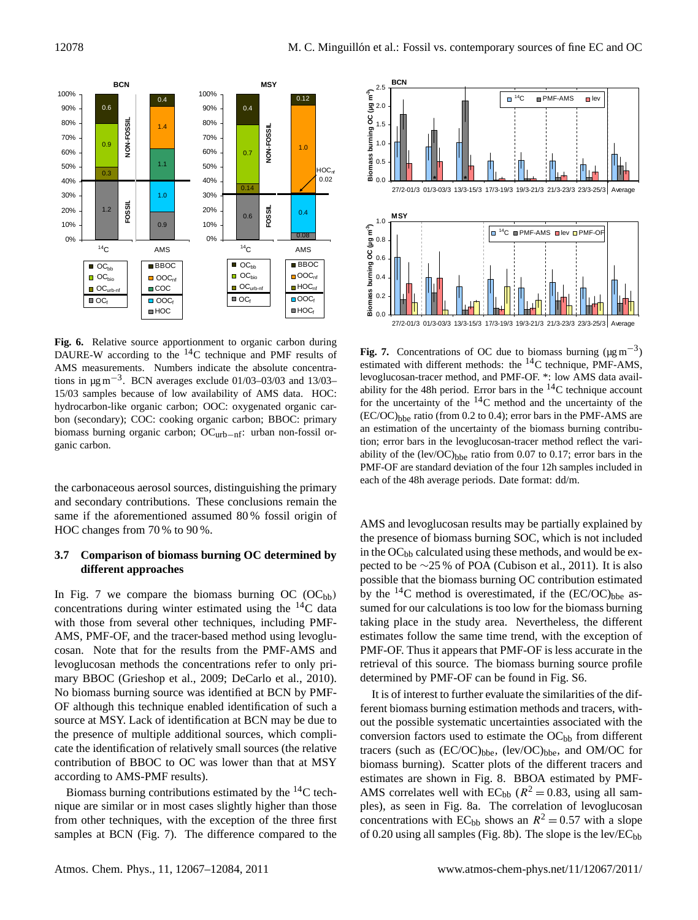

**Fig. 6.** Relative source apportionment to organic carbon during DAURE-W according to the <sup>14</sup>C technique and PMF results of AMS measurements. Numbers indicate the absolute concentrations in  $\mu$ g m<sup>-3</sup>. BCN averages exclude 01/03–03/03 and 13/03– 15/03 samples because of low availability of AMS data. HOC: hydrocarbon-like organic carbon; OOC: oxygenated organic carbon (secondary); COC: cooking organic carbon; BBOC: primary biomass burning organic carbon; OCurb−nf: urban non-fossil organic carbon.

the carbonaceous aerosol sources, distinguishing the primary and secondary contributions. These conclusions remain the same if the aforementioned assumed 80 % fossil origin of HOC changes from 70 % to 90 %.

### **3.7 Comparison of biomass burning OC determined by different approaches**

In Fig. 7 we compare the biomass burning OC  $(OC_{bb})$ concentrations during winter estimated using the  $^{14}$ C data with those from several other techniques, including PMF-AMS, PMF-OF, and the tracer-based method using levoglucosan. Note that for the results from the PMF-AMS and levoglucosan methods the concentrations refer to only primary BBOC (Grieshop et al., 2009; DeCarlo et al., 2010). No biomass burning source was identified at BCN by PMF-OF although this technique enabled identification of such a source at MSY. Lack of identification at BCN may be due to the presence of multiple additional sources, which complicate the identification of relatively small sources (the relative contribution of BBOC to OC was lower than that at MSY according to AMS-PMF results).

Biomass burning contributions estimated by the  $^{14}$ C technique are similar or in most cases slightly higher than those from other techniques, with the exception of the three first samples at BCN (Fig. 7). The difference compared to the



**Fig. 7.** Concentrations of OC due to biomass burning  $(\mu g m^{-3})$ estimated with different methods: the  ${}^{14}$ C technique, PMF-AMS, levoglucosan-tracer method, and PMF-OF. \*: low AMS data availability for the 48h period. Error bars in the  $^{14}$ C technique account for the uncertainty of the <sup>14</sup>C method and the uncertainty of the  $(EC/OC)_{bhe}$  ratio (from 0.2 to 0.4); error bars in the PMF-AMS are an estimation of the uncertainty of the biomass burning contribution; error bars in the levoglucosan-tracer method reflect the variability of the  $(lev/OC)_{bbe}$  ratio from 0.07 to 0.17; error bars in the PMF-OF are standard deviation of the four 12h samples included in each of the 48h average periods. Date format: dd/m.

AMS and levoglucosan results may be partially explained by the presence of biomass burning SOC, which is not included in the OC<sub>bb</sub> calculated using these methods, and would be expected to be ∼25 % of POA (Cubison et al., 2011). It is also possible that the biomass burning OC contribution estimated by the  $^{14}$ C method is overestimated, if the (EC/OC)<sub>bbe</sub> assumed for our calculations is too low for the biomass burning taking place in the study area. Nevertheless, the different estimates follow the same time trend, with the exception of PMF-OF. Thus it appears that PMF-OF is less accurate in the retrieval of this source. The biomass burning source profile determined by PMF-OF can be found in Fig. S6.

It is of interest to further evaluate the similarities of the different biomass burning estimation methods and tracers, without the possible systematic uncertainties associated with the conversion factors used to estimate the  $OC<sub>bb</sub>$  from different tracers (such as  $(EC/OC)_{bbe}$ ,  $(lev/OC)_{bbe}$ , and OM/OC for biomass burning). Scatter plots of the different tracers and estimates are shown in Fig. 8. BBOA estimated by PMF-AMS correlates well with EC<sub>bb</sub> ( $R^2 = 0.83$ , using all samples), as seen in Fig. 8a. The correlation of levoglucosan concentrations with EC<sub>bb</sub> shows an  $R^2 = 0.57$  with a slope of 0.20 using all samples (Fig. 8b). The slope is the lev/ $EC_{bb}$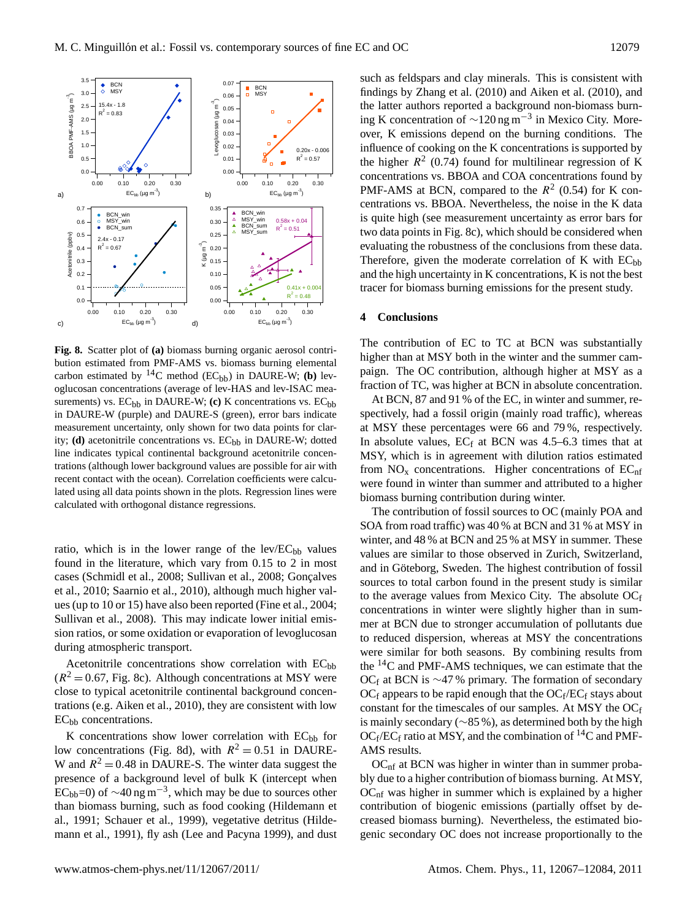

**Fig. 8.** Scatter plot of **(a)** biomass burning organic aerosol contribution estimated from PMF-AMS vs. biomass burning elemental carbon estimated by  $^{14}C$  method (EC<sub>bb</sub>) in DAURE-W; (b) levoglucosan concentrations (average of lev-HAS and lev-ISAC measurements) vs. EC<sub>bb</sub> in DAURE-W; (c) K concentrations vs. EC<sub>bb</sub> in DAURE-W (purple) and DAURE-S (green), error bars indicate measurement uncertainty, only shown for two data points for clarity; **(d)** acetonitrile concentrations vs.  $EC<sub>bb</sub>$  in DAURE-W; dotted line indicates typical continental background acetonitrile concentrations (although lower background values are possible for air with recent contact with the ocean). Correlation coefficients were calculated using all data points shown in the plots. Regression lines were calculated with orthogonal distance regressions.

ratio, which is in the lower range of the lev/ $EC_{bb}$  values found in the literature, which vary from 0.15 to 2 in most cases (Schmidl et al., 2008; Sullivan et al., 2008; Gonçalves et al., 2010; Saarnio et al., 2010), although much higher values (up to 10 or 15) have also been reported (Fine et al., 2004; Sullivan et al., 2008). This may indicate lower initial emission ratios, or some oxidation or evaporation of levoglucosan during atmospheric transport.

Acetonitrile concentrations show correlation with  $EC<sub>bb</sub>$  $(R^2 = 0.67$ , Fig. 8c). Although concentrations at MSY were close to typical acetonitrile continental background concentrations (e.g. Aiken et al., 2010), they are consistent with low  $EC<sub>bb</sub>$  concentrations.

K concentrations show lower correlation with  $EC<sub>bb</sub>$  for low concentrations (Fig. 8d), with  $R^2 = 0.51$  in DAURE-W and  $R^2 = 0.48$  in DAURE-S. The winter data suggest the presence of a background level of bulk K (intercept when  $EC_{bb}$ =0) of ~40 ng m<sup>-3</sup>, which may be due to sources other than biomass burning, such as food cooking (Hildemann et al., 1991; Schauer et al., 1999), vegetative detritus (Hildemann et al., 1991), fly ash (Lee and Pacyna 1999), and dust such as feldspars and clay minerals. This is consistent with findings by Zhang et al. (2010) and Aiken et al. (2010), and the latter authors reported a background non-biomass burning K concentration of  $\sim$ 120 ng m<sup>-3</sup> in Mexico City. Moreover, K emissions depend on the burning conditions. The influence of cooking on the K concentrations is supported by the higher  $R^2$  (0.74) found for multilinear regression of K concentrations vs. BBOA and COA concentrations found by PMF-AMS at BCN, compared to the  $R^2$  (0.54) for K concentrations vs. BBOA. Nevertheless, the noise in the K data is quite high (see measurement uncertainty as error bars for two data points in Fig. 8c), which should be considered when evaluating the robustness of the conclusions from these data. Therefore, given the moderate correlation of K with  $EC<sub>bb</sub>$ and the high uncertainty in K concentrations, K is not the best tracer for biomass burning emissions for the present study.

#### **4 Conclusions**

The contribution of EC to TC at BCN was substantially higher than at MSY both in the winter and the summer campaign. The OC contribution, although higher at MSY as a fraction of TC, was higher at BCN in absolute concentration.

At BCN, 87 and 91 % of the EC, in winter and summer, respectively, had a fossil origin (mainly road traffic), whereas at MSY these percentages were 66 and 79 %, respectively. In absolute values,  $EC_f$  at BCN was 4.5–6.3 times that at MSY, which is in agreement with dilution ratios estimated from  $NO<sub>x</sub>$  concentrations. Higher concentrations of  $EC<sub>nf</sub>$ were found in winter than summer and attributed to a higher biomass burning contribution during winter.

The contribution of fossil sources to OC (mainly POA and SOA from road traffic) was 40 % at BCN and 31 % at MSY in winter, and 48 % at BCN and 25 % at MSY in summer. These values are similar to those observed in Zurich, Switzerland, and in Göteborg, Sweden. The highest contribution of fossil sources to total carbon found in the present study is similar to the average values from Mexico City. The absolute  $OC_f$ concentrations in winter were slightly higher than in summer at BCN due to stronger accumulation of pollutants due to reduced dispersion, whereas at MSY the concentrations were similar for both seasons. By combining results from the  $^{14}$ C and PMF-AMS techniques, we can estimate that the OCf at BCN is ~47 % primary. The formation of secondary  $OC_f$  appears to be rapid enough that the  $OC_f/EC_f$  stays about constant for the timescales of our samples. At MSY the  $OC<sub>f</sub>$ is mainly secondary (∼85 %), as determined both by the high  $OC_f/EC_f$  ratio at MSY, and the combination of <sup>14</sup>C and PMF-AMS results.

 $OC<sub>nf</sub>$  at BCN was higher in winter than in summer probably due to a higher contribution of biomass burning. At MSY,  $OC<sub>nf</sub>$  was higher in summer which is explained by a higher contribution of biogenic emissions (partially offset by decreased biomass burning). Nevertheless, the estimated biogenic secondary OC does not increase proportionally to the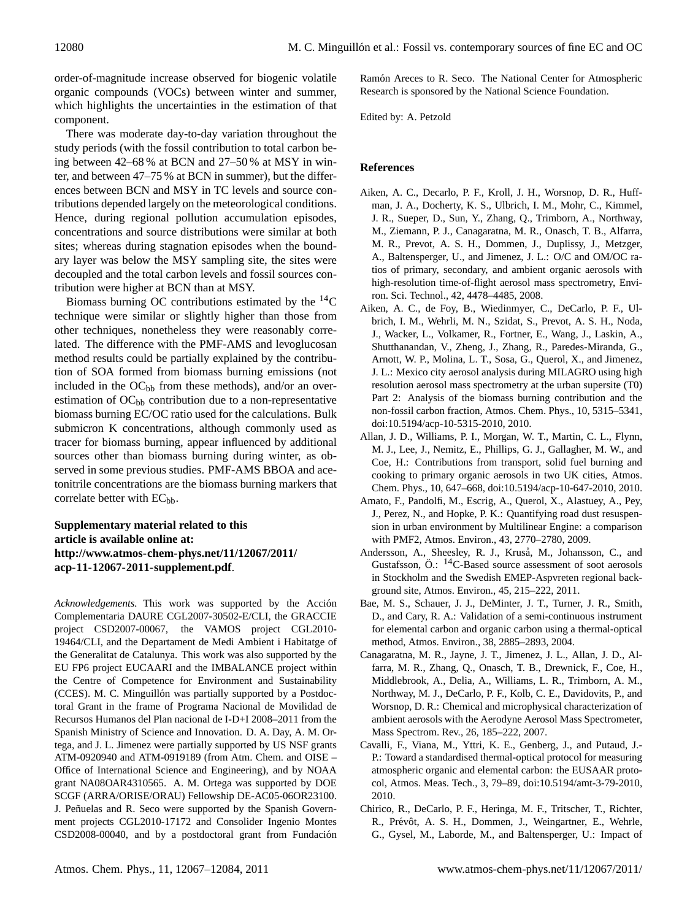order-of-magnitude increase observed for biogenic volatile organic compounds (VOCs) between winter and summer, which highlights the uncertainties in the estimation of that component.

There was moderate day-to-day variation throughout the study periods (with the fossil contribution to total carbon being between 42–68 % at BCN and 27–50 % at MSY in winter, and between 47–75 % at BCN in summer), but the differences between BCN and MSY in TC levels and source contributions depended largely on the meteorological conditions. Hence, during regional pollution accumulation episodes, concentrations and source distributions were similar at both sites; whereas during stagnation episodes when the boundary layer was below the MSY sampling site, the sites were decoupled and the total carbon levels and fossil sources contribution were higher at BCN than at MSY.

Biomass burning OC contributions estimated by the <sup>14</sup>C technique were similar or slightly higher than those from other techniques, nonetheless they were reasonably correlated. The difference with the PMF-AMS and levoglucosan method results could be partially explained by the contribution of SOA formed from biomass burning emissions (not included in the  $OC<sub>bb</sub>$  from these methods), and/or an overestimation of  $OC<sub>bb</sub>$  contribution due to a non-representative biomass burning EC/OC ratio used for the calculations. Bulk submicron K concentrations, although commonly used as tracer for biomass burning, appear influenced by additional sources other than biomass burning during winter, as observed in some previous studies. PMF-AMS BBOA and acetonitrile concentrations are the biomass burning markers that correlate better with  $EC<sub>bb</sub>$ .

# **Supplementary material related to this article is available online at: [http://www.atmos-chem-phys.net/11/12067/2011/](http://www.atmos-chem-phys.net/11/12067/2011/acp-11-12067-2011-supplement.pdf) [acp-11-12067-2011-supplement.pdf](http://www.atmos-chem-phys.net/11/12067/2011/acp-11-12067-2011-supplement.pdf)**.

*Acknowledgements.* This work was supported by the Accion´ Complementaria DAURE CGL2007-30502-E/CLI, the GRACCIE project CSD2007-00067, the VAMOS project CGL2010- 19464/CLI, and the Departament de Medi Ambient i Habitatge of the Generalitat de Catalunya. This work was also supported by the EU FP6 project EUCAARI and the IMBALANCE project within the Centre of Competence for Environment and Sustainability (CCES). M. C. Minguillón was partially supported by a Postdoctoral Grant in the frame of Programa Nacional de Movilidad de Recursos Humanos del Plan nacional de I-D+I 2008–2011 from the Spanish Ministry of Science and Innovation. D. A. Day, A. M. Ortega, and J. L. Jimenez were partially supported by US NSF grants ATM-0920940 and ATM-0919189 (from Atm. Chem. and OISE – Office of International Science and Engineering), and by NOAA grant NA08OAR4310565. A. M. Ortega was supported by DOE SCGF (ARRA/ORISE/ORAU) Fellowship DE-AC05-06OR23100. J. Peñuelas and R. Seco were supported by the Spanish Government projects CGL2010-17172 and Consolider Ingenio Montes CSD2008-00040, and by a postdoctoral grant from Fundación

Ramón Areces to R. Seco. The National Center for Atmospheric Research is sponsored by the National Science Foundation.

Edited by: A. Petzold

## **References**

- Aiken, A. C., Decarlo, P. F., Kroll, J. H., Worsnop, D. R., Huffman, J. A., Docherty, K. S., Ulbrich, I. M., Mohr, C., Kimmel, J. R., Sueper, D., Sun, Y., Zhang, Q., Trimborn, A., Northway, M., Ziemann, P. J., Canagaratna, M. R., Onasch, T. B., Alfarra, M. R., Prevot, A. S. H., Dommen, J., Duplissy, J., Metzger, A., Baltensperger, U., and Jimenez, J. L.: O/C and OM/OC ratios of primary, secondary, and ambient organic aerosols with high-resolution time-of-flight aerosol mass spectrometry, Environ. Sci. Technol., 42, 4478–4485, 2008.
- Aiken, A. C., de Foy, B., Wiedinmyer, C., DeCarlo, P. F., Ulbrich, I. M., Wehrli, M. N., Szidat, S., Prevot, A. S. H., Noda, J., Wacker, L., Volkamer, R., Fortner, E., Wang, J., Laskin, A., Shutthanandan, V., Zheng, J., Zhang, R., Paredes-Miranda, G., Arnott, W. P., Molina, L. T., Sosa, G., Querol, X., and Jimenez, J. L.: Mexico city aerosol analysis during MILAGRO using high resolution aerosol mass spectrometry at the urban supersite (T0) Part 2: Analysis of the biomass burning contribution and the non-fossil carbon fraction, Atmos. Chem. Phys., 10, 5315–5341, [doi:10.5194/acp-10-5315-2010,](http://dx.doi.org/10.5194/acp-10-5315-2010) 2010.
- Allan, J. D., Williams, P. I., Morgan, W. T., Martin, C. L., Flynn, M. J., Lee, J., Nemitz, E., Phillips, G. J., Gallagher, M. W., and Coe, H.: Contributions from transport, solid fuel burning and cooking to primary organic aerosols in two UK cities, Atmos. Chem. Phys., 10, 647–668, [doi:10.5194/acp-10-647-2010,](http://dx.doi.org/10.5194/acp-10-647-2010) 2010.
- Amato, F., Pandolfi, M., Escrig, A., Querol, X., Alastuey, A., Pey, J., Perez, N., and Hopke, P. K.: Quantifying road dust resuspension in urban environment by Multilinear Engine: a comparison with PMF2, Atmos. Environ., 43, 2770–2780, 2009.
- Andersson, A., Sheesley, R. J., Kruså, M., Johansson, C., and Gustafsson,  $\ddot{\mathrm{O}}$ .: <sup>14</sup>C-Based source assessment of soot aerosols in Stockholm and the Swedish EMEP-Aspvreten regional background site, Atmos. Environ., 45, 215–222, 2011.
- Bae, M. S., Schauer, J. J., DeMinter, J. T., Turner, J. R., Smith, D., and Cary, R. A.: Validation of a semi-continuous instrument for elemental carbon and organic carbon using a thermal-optical method, Atmos. Environ., 38, 2885–2893, 2004.
- Canagaratna, M. R., Jayne, J. T., Jimenez, J. L., Allan, J. D., Alfarra, M. R., Zhang, Q., Onasch, T. B., Drewnick, F., Coe, H., Middlebrook, A., Delia, A., Williams, L. R., Trimborn, A. M., Northway, M. J., DeCarlo, P. F., Kolb, C. E., Davidovits, P., and Worsnop, D. R.: Chemical and microphysical characterization of ambient aerosols with the Aerodyne Aerosol Mass Spectrometer, Mass Spectrom. Rev., 26, 185–222, 2007.
- Cavalli, F., Viana, M., Yttri, K. E., Genberg, J., and Putaud, J.- P.: Toward a standardised thermal-optical protocol for measuring atmospheric organic and elemental carbon: the EUSAAR protocol, Atmos. Meas. Tech., 3, 79–89, [doi:10.5194/amt-3-79-2010,](http://dx.doi.org/10.5194/amt-3-79-2010) 2010.
- Chirico, R., DeCarlo, P. F., Heringa, M. F., Tritscher, T., Richter, R., Prévôt, A. S. H., Dommen, J., Weingartner, E., Wehrle, G., Gysel, M., Laborde, M., and Baltensperger, U.: Impact of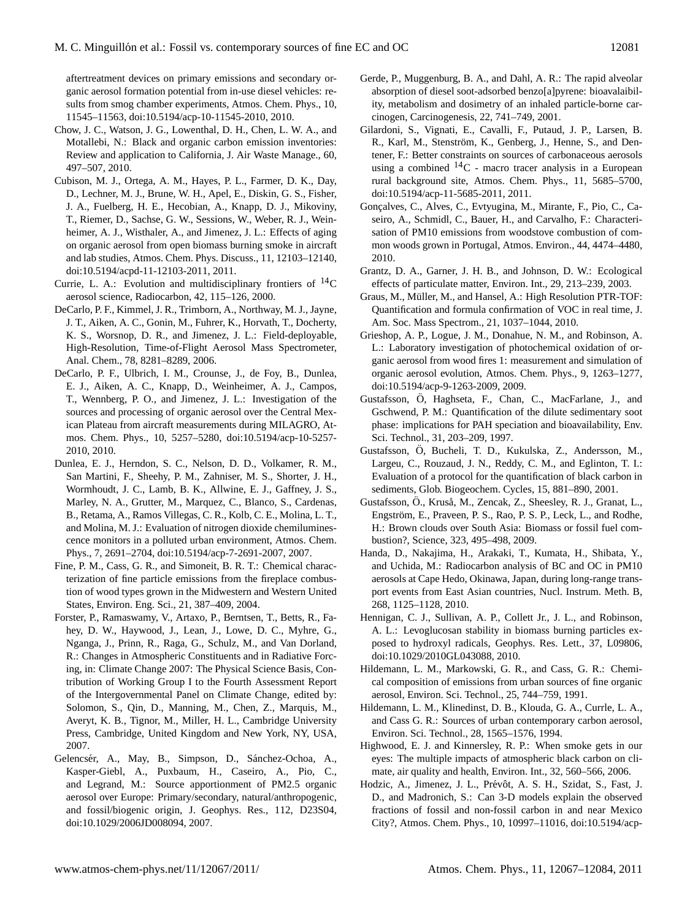aftertreatment devices on primary emissions and secondary organic aerosol formation potential from in-use diesel vehicles: results from smog chamber experiments, Atmos. Chem. Phys., 10, 11545–11563, [doi:10.5194/acp-10-11545-2010,](http://dx.doi.org/10.5194/acp-10-11545-2010) 2010.

- Chow, J. C., Watson, J. G., Lowenthal, D. H., Chen, L. W. A., and Motallebi, N.: Black and organic carbon emission inventories: Review and application to California, J. Air Waste Manage., 60, 497–507, 2010.
- Cubison, M. J., Ortega, A. M., Hayes, P. L., Farmer, D. K., Day, D., Lechner, M. J., Brune, W. H., Apel, E., Diskin, G. S., Fisher, J. A., Fuelberg, H. E., Hecobian, A., Knapp, D. J., Mikoviny, T., Riemer, D., Sachse, G. W., Sessions, W., Weber, R. J., Weinheimer, A. J., Wisthaler, A., and Jimenez, J. L.: Effects of aging on organic aerosol from open biomass burning smoke in aircraft and lab studies, Atmos. Chem. Phys. Discuss., 11, 12103–12140, [doi:10.5194/acpd-11-12103-2011,](http://dx.doi.org/10.5194/acpd-11-12103-2011) 2011.
- Currie, L. A.: Evolution and multidisciplinary frontiers of  ${}^{14}$ C aerosol science, Radiocarbon, 42, 115–126, 2000.
- DeCarlo, P. F., Kimmel, J. R., Trimborn, A., Northway, M. J., Jayne, J. T., Aiken, A. C., Gonin, M., Fuhrer, K., Horvath, T., Docherty, K. S., Worsnop, D. R., and Jimenez, J. L.: Field-deployable, High-Resolution, Time-of-Flight Aerosol Mass Spectrometer, Anal. Chem., 78, 8281–8289, 2006.
- DeCarlo, P. F., Ulbrich, I. M., Crounse, J., de Foy, B., Dunlea, E. J., Aiken, A. C., Knapp, D., Weinheimer, A. J., Campos, T., Wennberg, P. O., and Jimenez, J. L.: Investigation of the sources and processing of organic aerosol over the Central Mexican Plateau from aircraft measurements during MILAGRO, Atmos. Chem. Phys., 10, 5257–5280, [doi:10.5194/acp-10-5257-](http://dx.doi.org/10.5194/acp-10-5257-2010) [2010,](http://dx.doi.org/10.5194/acp-10-5257-2010) 2010.
- Dunlea, E. J., Herndon, S. C., Nelson, D. D., Volkamer, R. M., San Martini, F., Sheehy, P. M., Zahniser, M. S., Shorter, J. H., Wormhoudt, J. C., Lamb, B. K., Allwine, E. J., Gaffney, J. S., Marley, N. A., Grutter, M., Marquez, C., Blanco, S., Cardenas, B., Retama, A., Ramos Villegas, C. R., Kolb, C. E., Molina, L. T., and Molina, M. J.: Evaluation of nitrogen dioxide chemiluminescence monitors in a polluted urban environment, Atmos. Chem. Phys., 7, 2691–2704, [doi:10.5194/acp-7-2691-2007,](http://dx.doi.org/10.5194/acp-7-2691-2007) 2007.
- Fine, P. M., Cass, G. R., and Simoneit, B. R. T.: Chemical characterization of fine particle emissions from the fireplace combustion of wood types grown in the Midwestern and Western United States, Environ. Eng. Sci., 21, 387–409, 2004.
- Forster, P., Ramaswamy, V., Artaxo, P., Berntsen, T., Betts, R., Fahey, D. W., Haywood, J., Lean, J., Lowe, D. C., Myhre, G., Nganga, J., Prinn, R., Raga, G., Schulz, M., and Van Dorland, R.: Changes in Atmospheric Constituents and in Radiative Forcing, in: Climate Change 2007: The Physical Science Basis, Contribution of Working Group I to the Fourth Assessment Report of the Intergovernmental Panel on Climate Change, edited by: Solomon, S., Qin, D., Manning, M., Chen, Z., Marquis, M., Averyt, K. B., Tignor, M., Miller, H. L., Cambridge University Press, Cambridge, United Kingdom and New York, NY, USA, 2007.
- Gelencsér, A., May, B., Simpson, D., Sánchez-Ochoa, A., Kasper-Giebl, A., Puxbaum, H., Caseiro, A., Pio, C., and Legrand, M.: Source apportionment of PM2.5 organic aerosol over Europe: Primary/secondary, natural/anthropogenic, and fossil/biogenic origin, J. Geophys. Res., 112, D23S04, [doi:10.1029/2006JD008094,](http://dx.doi.org/10.1029/2006JD008094) 2007.
- Gerde, P., Muggenburg, B. A., and Dahl, A. R.: The rapid alveolar absorption of diesel soot-adsorbed benzo[a]pyrene: bioavalaibility, metabolism and dosimetry of an inhaled particle-borne carcinogen, Carcinogenesis, 22, 741–749, 2001.
- Gilardoni, S., Vignati, E., Cavalli, F., Putaud, J. P., Larsen, B. R., Karl, M., Stenström, K., Genberg, J., Henne, S., and Dentener, F.: Better constraints on sources of carbonaceous aerosols using a combined  ${}^{14}C$  - macro tracer analysis in a European rural background site, Atmos. Chem. Phys., 11, 5685–5700, [doi:10.5194/acp-11-5685-2011,](http://dx.doi.org/10.5194/acp-11-5685-2011) 2011.
- Gonçalves, C., Alves, C., Evtyugina, M., Mirante, F., Pio, C., Caseiro, A., Schmidl, C., Bauer, H., and Carvalho, F.: Characterisation of PM10 emissions from woodstove combustion of common woods grown in Portugal, Atmos. Environ., 44, 4474–4480, 2010.
- Grantz, D. A., Garner, J. H. B., and Johnson, D. W.: Ecological effects of particulate matter, Environ. Int., 29, 213–239, 2003.
- Graus, M., Müller, M., and Hansel, A.: High Resolution PTR-TOF: Quantification and formula confirmation of VOC in real time, J. Am. Soc. Mass Spectrom., 21, 1037–1044, 2010.
- Grieshop, A. P., Logue, J. M., Donahue, N. M., and Robinson, A. L.: Laboratory investigation of photochemical oxidation of organic aerosol from wood fires 1: measurement and simulation of organic aerosol evolution, Atmos. Chem. Phys., 9, 1263–1277, [doi:10.5194/acp-9-1263-2009,](http://dx.doi.org/10.5194/acp-9-1263-2009) 2009.
- Gustafsson, Ö, Haghseta, F., Chan, C., MacFarlane, J., and Gschwend, P. M.: Quantification of the dilute sedimentary soot phase: implications for PAH speciation and bioavailability, Env. Sci. Technol., 31, 203–209, 1997.
- Gustafsson, O, Bucheli, T. D., Kukulska, Z., Andersson, M., ¨ Largeu, C., Rouzaud, J. N., Reddy, C. M., and Eglinton, T. I.: Evaluation of a protocol for the quantification of black carbon in sediments, Glob. Biogeochem. Cycles, 15, 881–890, 2001.
- Gustafsson, Ö., Kruså, M., Zencak, Z., Sheesley, R. J., Granat, L., Engström, E., Praveen, P. S., Rao, P. S. P., Leck, L., and Rodhe, H.: Brown clouds over South Asia: Biomass or fossil fuel combustion?, Science, 323, 495–498, 2009.
- Handa, D., Nakajima, H., Arakaki, T., Kumata, H., Shibata, Y., and Uchida, M.: Radiocarbon analysis of BC and OC in PM10 aerosols at Cape Hedo, Okinawa, Japan, during long-range transport events from East Asian countries, Nucl. Instrum. Meth. B, 268, 1125–1128, 2010.
- Hennigan, C. J., Sullivan, A. P., Collett Jr., J. L., and Robinson, A. L.: Levoglucosan stability in biomass burning particles exposed to hydroxyl radicals, Geophys. Res. Lett., 37, L09806, [doi:10.1029/2010GL043088,](http://dx.doi.org/10.1029/2010GL043088) 2010.
- Hildemann, L. M., Markowski, G. R., and Cass, G. R.: Chemical composition of emissions from urban sources of fine organic aerosol, Environ. Sci. Technol., 25, 744–759, 1991.
- Hildemann, L. M., Klinedinst, D. B., Klouda, G. A., Currle, L. A., and Cass G. R.: Sources of urban contemporary carbon aerosol, Environ. Sci. Technol., 28, 1565–1576, 1994.
- Highwood, E. J. and Kinnersley, R. P.: When smoke gets in our eyes: The multiple impacts of atmospheric black carbon on climate, air quality and health, Environ. Int., 32, 560–566, 2006.
- Hodzic, A., Jimenez, J. L., Prévôt, A. S. H., Szidat, S., Fast, J. D., and Madronich, S.: Can 3-D models explain the observed fractions of fossil and non-fossil carbon in and near Mexico City?, Atmos. Chem. Phys., 10, 10997–11016, [doi:10.5194/acp-](http://dx.doi.org/10.5194/acp-10-10997-2010)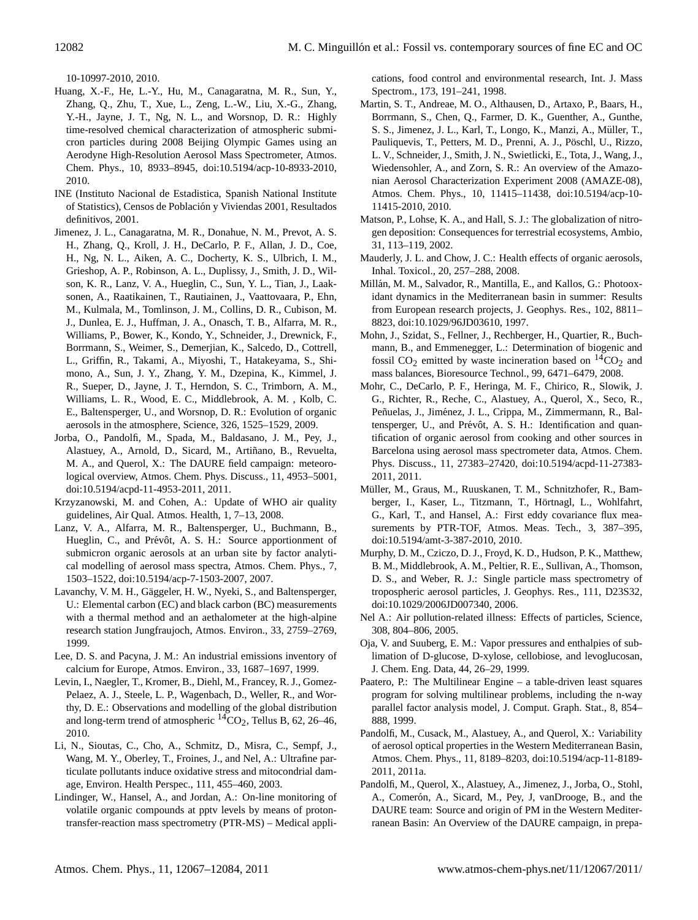[10-10997-2010,](http://dx.doi.org/10.5194/acp-10-10997-2010) 2010.

- Huang, X.-F., He, L.-Y., Hu, M., Canagaratna, M. R., Sun, Y., Zhang, Q., Zhu, T., Xue, L., Zeng, L.-W., Liu, X.-G., Zhang, Y.-H., Jayne, J. T., Ng, N. L., and Worsnop, D. R.: Highly time-resolved chemical characterization of atmospheric submicron particles during 2008 Beijing Olympic Games using an Aerodyne High-Resolution Aerosol Mass Spectrometer, Atmos. Chem. Phys., 10, 8933–8945, [doi:10.5194/acp-10-8933-2010,](http://dx.doi.org/10.5194/acp-10-8933-2010) 2010.
- INE (Instituto Nacional de Estadistica, Spanish National Institute of Statistics), Censos de Poblacion y Viviendas 2001, Resultados ´ definitivos, 2001.
- Jimenez, J. L., Canagaratna, M. R., Donahue, N. M., Prevot, A. S. H., Zhang, Q., Kroll, J. H., DeCarlo, P. F., Allan, J. D., Coe, H., Ng, N. L., Aiken, A. C., Docherty, K. S., Ulbrich, I. M., Grieshop, A. P., Robinson, A. L., Duplissy, J., Smith, J. D., Wilson, K. R., Lanz, V. A., Hueglin, C., Sun, Y. L., Tian, J., Laaksonen, A., Raatikainen, T., Rautiainen, J., Vaattovaara, P., Ehn, M., Kulmala, M., Tomlinson, J. M., Collins, D. R., Cubison, M. J., Dunlea, E. J., Huffman, J. A., Onasch, T. B., Alfarra, M. R., Williams, P., Bower, K., Kondo, Y., Schneider, J., Drewnick, F., Borrmann, S., Weimer, S., Demerjian, K., Salcedo, D., Cottrell, L., Griffin, R., Takami, A., Miyoshi, T., Hatakeyama, S., Shimono, A., Sun, J. Y., Zhang, Y. M., Dzepina, K., Kimmel, J. R., Sueper, D., Jayne, J. T., Herndon, S. C., Trimborn, A. M., Williams, L. R., Wood, E. C., Middlebrook, A. M. , Kolb, C. E., Baltensperger, U., and Worsnop, D. R.: Evolution of organic aerosols in the atmosphere, Science, 326, 1525–1529, 2009.
- Jorba, O., Pandolfi, M., Spada, M., Baldasano, J. M., Pey, J., Alastuey, A., Arnold, D., Sicard, M., Artiñano, B., Revuelta, M. A., and Querol, X.: The DAURE field campaign: meteorological overview, Atmos. Chem. Phys. Discuss., 11, 4953–5001, [doi:10.5194/acpd-11-4953-2011,](http://dx.doi.org/10.5194/acpd-11-4953-2011) 2011.
- Krzyzanowski, M. and Cohen, A.: Update of WHO air quality guidelines, Air Qual. Atmos. Health, 1, 7–13, 2008.
- Lanz, V. A., Alfarra, M. R., Baltensperger, U., Buchmann, B., Hueglin, C., and Prévôt, A. S. H.: Source apportionment of submicron organic aerosols at an urban site by factor analytical modelling of aerosol mass spectra, Atmos. Chem. Phys., 7, 1503–1522, [doi:10.5194/acp-7-1503-2007,](http://dx.doi.org/10.5194/acp-7-1503-2007) 2007.
- Lavanchy, V. M. H., Gäggeler, H. W., Nyeki, S., and Baltensperger, U.: Elemental carbon (EC) and black carbon (BC) measurements with a thermal method and an aethalometer at the high-alpine research station Jungfraujoch, Atmos. Environ., 33, 2759–2769, 1999.
- Lee, D. S. and Pacyna, J. M.: An industrial emissions inventory of calcium for Europe, Atmos. Environ., 33, 1687–1697, 1999.
- Levin, I., Naegler, T., Kromer, B., Diehl, M., Francey, R. J., Gomez-Pelaez, A. J., Steele, L. P., Wagenbach, D., Weller, R., and Worthy, D. E.: Observations and modelling of the global distribution and long-term trend of atmospheric  ${}^{14}CO_2$ , Tellus B, 62, 26–46, 2010.
- Li, N., Sioutas, C., Cho, A., Schmitz, D., Misra, C., Sempf, J., Wang, M. Y., Oberley, T., Froines, J., and Nel, A.: Ultrafine particulate pollutants induce oxidative stress and mitocondrial damage, Environ. Health Perspec., 111, 455–460, 2003.
- Lindinger, W., Hansel, A., and Jordan, A.: On-line monitoring of volatile organic compounds at pptv levels by means of protontransfer-reaction mass spectrometry (PTR-MS) – Medical appli-

cations, food control and environmental research, Int. J. Mass Spectrom., 173, 191–241, 1998.

- Martin, S. T., Andreae, M. O., Althausen, D., Artaxo, P., Baars, H., Borrmann, S., Chen, Q., Farmer, D. K., Guenther, A., Gunthe, S. S., Jimenez, J. L., Karl, T., Longo, K., Manzi, A., Müller, T., Pauliquevis, T., Petters, M. D., Prenni, A. J., Pöschl, U., Rizzo, L. V., Schneider, J., Smith, J. N., Swietlicki, E., Tota, J., Wang, J., Wiedensohler, A., and Zorn, S. R.: An overview of the Amazonian Aerosol Characterization Experiment 2008 (AMAZE-08), Atmos. Chem. Phys., 10, 11415–11438, [doi:10.5194/acp-10-](http://dx.doi.org/10.5194/acp-10-11415-2010) [11415-2010,](http://dx.doi.org/10.5194/acp-10-11415-2010) 2010.
- Matson, P., Lohse, K. A., and Hall, S. J.: The globalization of nitrogen deposition: Consequences for terrestrial ecosystems, Ambio, 31, 113–119, 2002.
- Mauderly, J. L. and Chow, J. C.: Health effects of organic aerosols, Inhal. Toxicol., 20, 257–288, 2008.
- Millán, M. M., Salvador, R., Mantilla, E., and Kallos, G.: Photooxidant dynamics in the Mediterranean basin in summer: Results from European research projects, J. Geophys. Res., 102, 8811– 8823, [doi:10.1029/96JD03610,](http://dx.doi.org/10.1029/96JD03610) 1997.
- Mohn, J., Szidat, S., Fellner, J., Rechberger, H., Quartier, R., Buchmann, B., and Emmenegger, L.: Determination of biogenic and fossil  $CO<sub>2</sub>$  emitted by waste incineration based on  ${}^{14}CO<sub>2</sub>$  and mass balances, Bioresource Technol., 99, 6471–6479, 2008.
- Mohr, C., DeCarlo, P. F., Heringa, M. F., Chirico, R., Slowik, J. G., Richter, R., Reche, C., Alastuey, A., Querol, X., Seco, R., Peñuelas, J., Jiménez, J. L., Crippa, M., Zimmermann, R., Baltensperger, U., and Prévôt, A. S. H.: Identification and quantification of organic aerosol from cooking and other sources in Barcelona using aerosol mass spectrometer data, Atmos. Chem. Phys. Discuss., 11, 27383–27420, [doi:10.5194/acpd-11-27383-](http://dx.doi.org/10.5194/acpd-11-27383-2011) [2011,](http://dx.doi.org/10.5194/acpd-11-27383-2011) 2011.
- Müller, M., Graus, M., Ruuskanen, T. M., Schnitzhofer, R., Bamberger, I., Kaser, L., Titzmann, T., Hörtnagl, L., Wohlfahrt, G., Karl, T., and Hansel, A.: First eddy covariance flux measurements by PTR-TOF, Atmos. Meas. Tech., 3, 387-395, [doi:10.5194/amt-3-387-2010,](http://dx.doi.org/10.5194/amt-3-387-2010) 2010.
- Murphy, D. M., Cziczo, D. J., Froyd, K. D., Hudson, P. K., Matthew, B. M., Middlebrook, A. M., Peltier, R. E., Sullivan, A., Thomson, D. S., and Weber, R. J.: Single particle mass spectrometry of tropospheric aerosol particles, J. Geophys. Res., 111, D23S32, [doi:10.1029/2006JD007340,](http://dx.doi.org/10.1029/2006JD007340) 2006.
- Nel A.: Air pollution-related illness: Effects of particles, Science, 308, 804–806, 2005.
- Oja, V. and Suuberg, E. M.: Vapor pressures and enthalpies of sublimation of D-glucose, D-xylose, cellobiose, and levoglucosan, J. Chem. Eng. Data, 44, 26–29, 1999.
- Paatero, P.: The Multilinear Engine a table-driven least squares program for solving multilinear problems, including the n-way parallel factor analysis model, J. Comput. Graph. Stat., 8, 854– 888, 1999.
- Pandolfi, M., Cusack, M., Alastuey, A., and Querol, X.: Variability of aerosol optical properties in the Western Mediterranean Basin, Atmos. Chem. Phys., 11, 8189–8203, [doi:10.5194/acp-11-8189-](http://dx.doi.org/10.5194/acp-11-8189-2011) [2011,](http://dx.doi.org/10.5194/acp-11-8189-2011) 2011a.
- Pandolfi, M., Querol, X., Alastuey, A., Jimenez, J., Jorba, O., Stohl, A., Comerón, A., Sicard, M., Pey, J, vanDrooge, B., and the DAURE team: Source and origin of PM in the Western Mediterranean Basin: An Overview of the DAURE campaign, in prepa-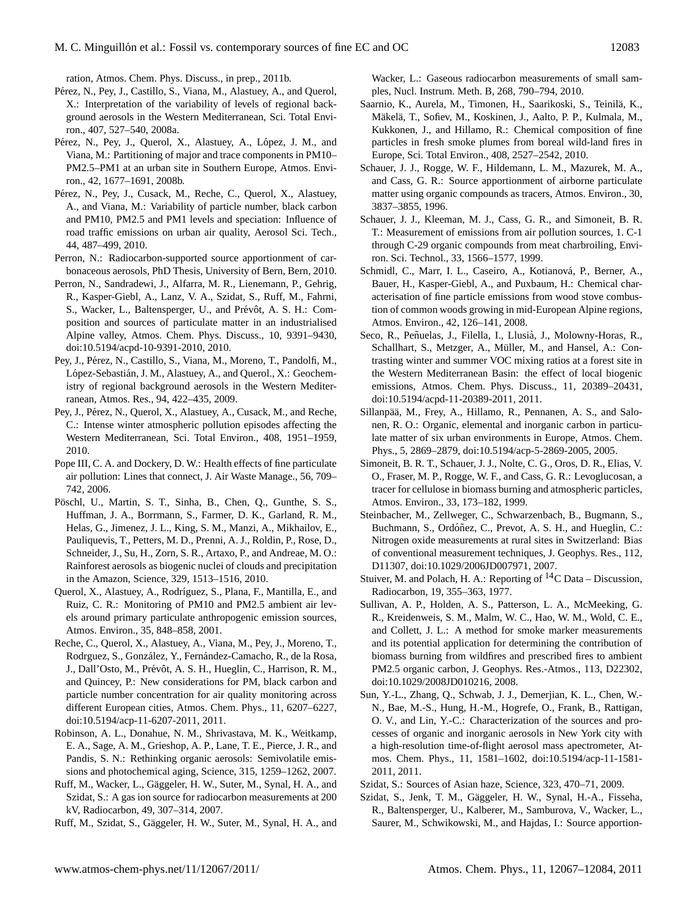ration, Atmos. Chem. Phys. Discuss., in prep., 2011b.

- Pérez, N., Pey, J., Castillo, S., Viana, M., Alastuey, A., and Querol, X.: Interpretation of the variability of levels of regional background aerosols in the Western Mediterranean, Sci. Total Environ., 407, 527–540, 2008a.
- Pérez, N., Pey, J., Querol, X., Alastuey, A., López, J. M., and Viana, M.: Partitioning of major and trace components in PM10– PM2.5–PM1 at an urban site in Southern Europe, Atmos. Environ., 42, 1677–1691, 2008b.
- Pérez, N., Pey, J., Cusack, M., Reche, C., Querol, X., Alastuey, A., and Viana, M.: Variability of particle number, black carbon and PM10, PM2.5 and PM1 levels and speciation: Influence of road traffic emissions on urban air quality, Aerosol Sci. Tech., 44, 487–499, 2010.
- Perron, N.: Radiocarbon-supported source apportionment of carbonaceous aerosols, PhD Thesis, University of Bern, Bern, 2010.
- Perron, N., Sandradewi, J., Alfarra, M. R., Lienemann, P., Gehrig, R., Kasper-Giebl, A., Lanz, V. A., Szidat, S., Ruff, M., Fahrni, S., Wacker, L., Baltensperger, U., and Prévôt, A. S. H.: Composition and sources of particulate matter in an industrialised Alpine valley, Atmos. Chem. Phys. Discuss., 10, 9391–9430, [doi:10.5194/acpd-10-9391-2010,](http://dx.doi.org/10.5194/acpd-10-9391-2010) 2010.
- Pey, J., Pérez, N., Castillo, S., Viana, M., Moreno, T., Pandolfi, M., López-Sebastián, J. M., Alastuey, A., and Querol., X.: Geochemistry of regional background aerosols in the Western Mediterranean, Atmos. Res., 94, 422–435, 2009.
- Pey, J., Pérez, N., Querol, X., Alastuey, A., Cusack, M., and Reche, C.: Intense winter atmospheric pollution episodes affecting the Western Mediterranean, Sci. Total Environ., 408, 1951–1959, 2010.
- Pope III, C. A. and Dockery, D. W.: Health effects of fine particulate air pollution: Lines that connect, J. Air Waste Manage., 56, 709– 742, 2006.
- Pöschl, U., Martin, S. T., Sinha, B., Chen, Q., Gunthe, S. S., Huffman, J. A., Borrmann, S., Farmer, D. K., Garland, R. M., Helas, G., Jimenez, J. L., King, S. M., Manzi, A., Mikhailov, E., Pauliquevis, T., Petters, M. D., Prenni, A. J., Roldin, P., Rose, D., Schneider, J., Su, H., Zorn, S. R., Artaxo, P., and Andreae, M. O.: Rainforest aerosols as biogenic nuclei of clouds and precipitation in the Amazon, Science, 329, 1513–1516, 2010.
- Querol, X., Alastuey, A., Rodríguez, S., Plana, F., Mantilla, E., and Ruiz, C. R.: Monitoring of PM10 and PM2.5 ambient air levels around primary particulate anthropogenic emission sources, Atmos. Environ., 35, 848–858, 2001.
- Reche, C., Querol, X., Alastuey, A., Viana, M., Pey, J., Moreno, T., Rodrguez, S., González, Y., Fernández-Camacho, R., de la Rosa, J., Dall'Osto, M., Prévôt, A. S. H., Hueglin, C., Harrison, R. M., and Quincey, P.: New considerations for PM, black carbon and particle number concentration for air quality monitoring across different European cities, Atmos. Chem. Phys., 11, 6207–6227, [doi:10.5194/acp-11-6207-2011,](http://dx.doi.org/10.5194/acp-11-6207-2011) 2011.
- Robinson, A. L., Donahue, N. M., Shrivastava, M. K., Weitkamp, E. A., Sage, A. M., Grieshop, A. P., Lane, T. E., Pierce, J. R., and Pandis, S. N.: Rethinking organic aerosols: Semivolatile emissions and photochemical aging, Science, 315, 1259–1262, 2007.
- Ruff, M., Wacker, L., Gäggeler, H. W., Suter, M., Synal, H. A., and Szidat, S.: A gas ion source for radiocarbon measurements at 200 kV, Radiocarbon, 49, 307–314, 2007.
- Ruff, M., Szidat, S., Gäggeler, H. W., Suter, M., Synal, H. A., and

Wacker, L.: Gaseous radiocarbon measurements of small samples, Nucl. Instrum. Meth. B, 268, 790–794, 2010.

- Saarnio, K., Aurela, M., Timonen, H., Saarikoski, S., Teinilä, K., Mäkelä, T., Sofiev, M., Koskinen, J., Aalto, P. P., Kulmala, M., Kukkonen, J., and Hillamo, R.: Chemical composition of fine particles in fresh smoke plumes from boreal wild-land fires in Europe, Sci. Total Environ., 408, 2527–2542, 2010.
- Schauer, J. J., Rogge, W. F., Hildemann, L. M., Mazurek, M. A., and Cass, G. R.: Source apportionment of airborne particulate matter using organic compounds as tracers, Atmos. Environ., 30, 3837–3855, 1996.
- Schauer, J. J., Kleeman, M. J., Cass, G. R., and Simoneit, B. R. T.: Measurement of emissions from air pollution sources, 1. C-1 through C-29 organic compounds from meat charbroiling, Environ. Sci. Technol., 33, 1566–1577, 1999.
- Schmidl, C., Marr, I. L., Caseiro, A., Kotianová, P., Berner, A., Bauer, H., Kasper-Giebl, A., and Puxbaum, H.: Chemical characterisation of fine particle emissions from wood stove combustion of common woods growing in mid-European Alpine regions, Atmos. Environ., 42, 126–141, 2008.
- Seco, R., Peñuelas, J., Filella, I., Llusià, J., Molowny-Horas, R., Schallhart, S., Metzger, A., Müller, M., and Hansel, A.: Contrasting winter and summer VOC mixing ratios at a forest site in the Western Mediterranean Basin: the effect of local biogenic emissions, Atmos. Chem. Phys. Discuss., 11, 20389–20431, [doi:10.5194/acpd-11-20389-2011,](http://dx.doi.org/10.5194/acpd-11-20389-2011) 2011.
- Sillanpää, M., Frey, A., Hillamo, R., Pennanen, A. S., and Salonen, R. O.: Organic, elemental and inorganic carbon in particulate matter of six urban environments in Europe, Atmos. Chem. Phys., 5, 2869–2879, [doi:10.5194/acp-5-2869-2005,](http://dx.doi.org/10.5194/acp-5-2869-2005) 2005.
- Simoneit, B. R. T., Schauer, J. J., Nolte, C. G., Oros, D. R., Elias, V. O., Fraser, M. P., Rogge, W. F., and Cass, G. R.: Levoglucosan, a tracer for cellulose in biomass burning and atmospheric particles, Atmos. Environ., 33, 173–182, 1999.
- Steinbacher, M., Zellweger, C., Schwarzenbach, B., Bugmann, S., Buchmann, S., Ordóñez, C., Prevot, A. S. H., and Hueglin, C.: Nitrogen oxide measurements at rural sites in Switzerland: Bias of conventional measurement techniques, J. Geophys. Res., 112, D11307, [doi:10.1029/2006JD007971,](http://dx.doi.org/10.1029/2006JD007971) 2007.
- Stuiver, M. and Polach, H. A.: Reporting of  ${}^{14}C$  Data Discussion, Radiocarbon, 19, 355–363, 1977.
- Sullivan, A. P., Holden, A. S., Patterson, L. A., McMeeking, G. R., Kreidenweis, S. M., Malm, W. C., Hao, W. M., Wold, C. E., and Collett, J. L.: A method for smoke marker measurements and its potential application for determining the contribution of biomass burning from wildfires and prescribed fires to ambient PM2.5 organic carbon, J. Geophys. Res.-Atmos., 113, D22302, [doi:10.1029/2008JD010216,](http://dx.doi.org/10.1029/2008JD010216) 2008.
- Sun, Y.-L., Zhang, Q., Schwab, J. J., Demerjian, K. L., Chen, W.- N., Bae, M.-S., Hung, H.-M., Hogrefe, O., Frank, B., Rattigan, O. V., and Lin, Y.-C.: Characterization of the sources and processes of organic and inorganic aerosols in New York city with a high-resolution time-of-flight aerosol mass apectrometer, Atmos. Chem. Phys., 11, 1581–1602, [doi:10.5194/acp-11-1581-](http://dx.doi.org/10.5194/acp-11-1581-2011) [2011,](http://dx.doi.org/10.5194/acp-11-1581-2011) 2011.
- Szidat, S.: Sources of Asian haze, Science, 323, 470–71, 2009.
- Szidat, S., Jenk, T. M., Gäggeler, H. W., Synal, H.-A., Fisseha, R., Baltensperger, U., Kalberer, M., Samburova, V., Wacker, L., Saurer, M., Schwikowski, M., and Hajdas, I.: Source apportion-